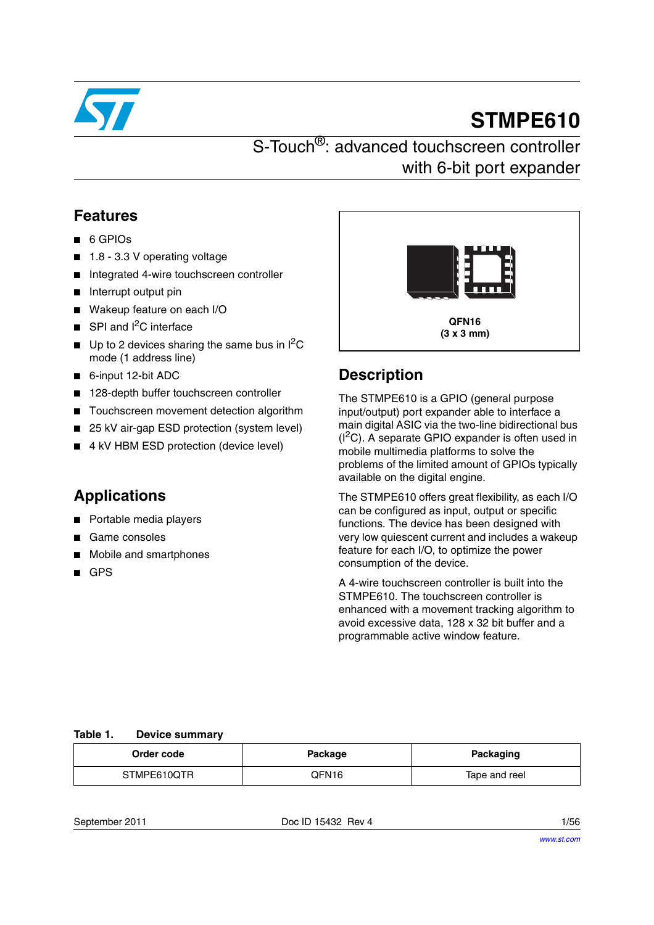

# **STMPE610**

# S-Touch<sup>®</sup>: advanced touchscreen controller with 6-bit port expander

## **Features**

- 6 GPIOs
- 1.8 3.3 V operating voltage
- Integrated 4-wire touchscreen controller
- Interrupt output pin
- Wakeup feature on each I/O
- $\blacksquare$  SPI and  $I^2C$  interface
- $\blacksquare$  Up to 2 devices sharing the same bus in  ${}^{12}C$ mode (1 address line)
- 6-input 12-bit ADC
- 128-depth buffer touchscreen controller
- Touchscreen movement detection algorithm
- 25 kV air-gap ESD protection (system level)
- 4 kV HBM ESD protection (device level)

## **Applications**

- Portable media players
- Game consoles
- Mobile and smartphones
- GPS



## **Description**

The STMPE610 is a GPIO (general purpose input/output) port expander able to interface a main digital ASIC via the two-line bidirectional bus  $(I<sup>2</sup>C)$ . A separate GPIO expander is often used in mobile multimedia platforms to solve the problems of the limited amount of GPIOs typically available on the digital engine.

The STMPE610 offers great flexibility, as each I/O can be configured as input, output or specific functions. The device has been designed with very low quiescent current and includes a wakeup feature for each I/O, to optimize the power consumption of the device.

A 4-wire touchscreen controller is built into the STMPE610. The touchscreen controller is enhanced with a movement tracking algorithm to avoid excessive data, 128 x 32 bit buffer and a programmable active window feature.

### **Table 1. Device summary**

| Order code  | Package | <b>Packaging</b> |
|-------------|---------|------------------|
| STMPE610QTR | OFN16   | Tape and reel    |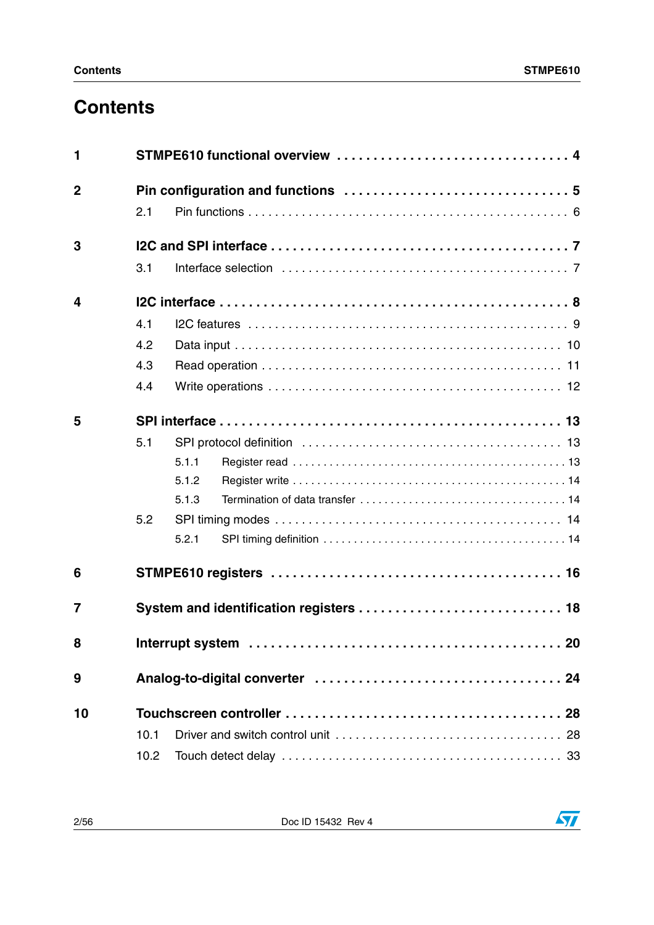# **Contents**

| 2.1  |                                         |  |  |
|------|-----------------------------------------|--|--|
|      |                                         |  |  |
| 3.1  |                                         |  |  |
|      |                                         |  |  |
| 4.1  |                                         |  |  |
| 4.2  |                                         |  |  |
| 4.3  |                                         |  |  |
| 4.4  |                                         |  |  |
|      |                                         |  |  |
| 5.1  |                                         |  |  |
|      | 5.1.1                                   |  |  |
|      | 5.1.2                                   |  |  |
|      | 5.1.3                                   |  |  |
| 5.2  |                                         |  |  |
|      | 5.2.1                                   |  |  |
|      |                                         |  |  |
|      | System and identification registers  18 |  |  |
|      |                                         |  |  |
|      |                                         |  |  |
|      |                                         |  |  |
| 10.1 |                                         |  |  |
| 10.2 |                                         |  |  |
|      |                                         |  |  |

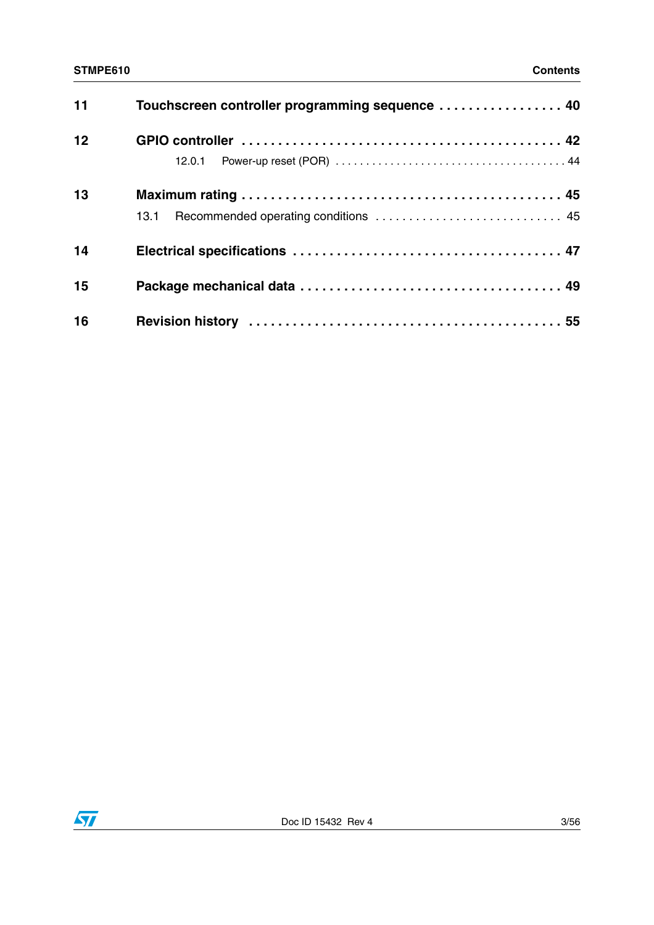### **STMPE610 Contents**

| 11 | Touchscreen controller programming sequence  40 |  |
|----|-------------------------------------------------|--|
| 12 | 12.0.1                                          |  |
| 13 | 13.1                                            |  |
| 14 |                                                 |  |
| 15 |                                                 |  |
| 16 |                                                 |  |

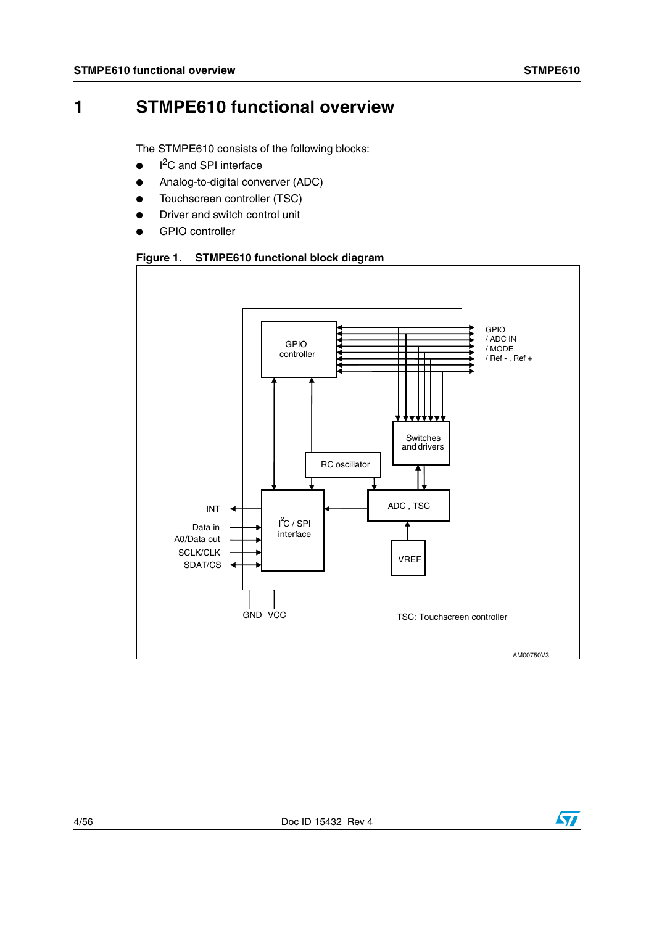# <span id="page-3-0"></span>**1 STMPE610 functional overview**

The STMPE610 consists of the following blocks:

- $\bullet$ I<sup>2</sup>C and SPI interface
- Analog-to-digital converver (ADC)
- Touchscreen controller (TSC)
- Driver and switch control unit
- **GPIO controller**

### <span id="page-3-1"></span>**Figure 1. STMPE610 functional block diagram**

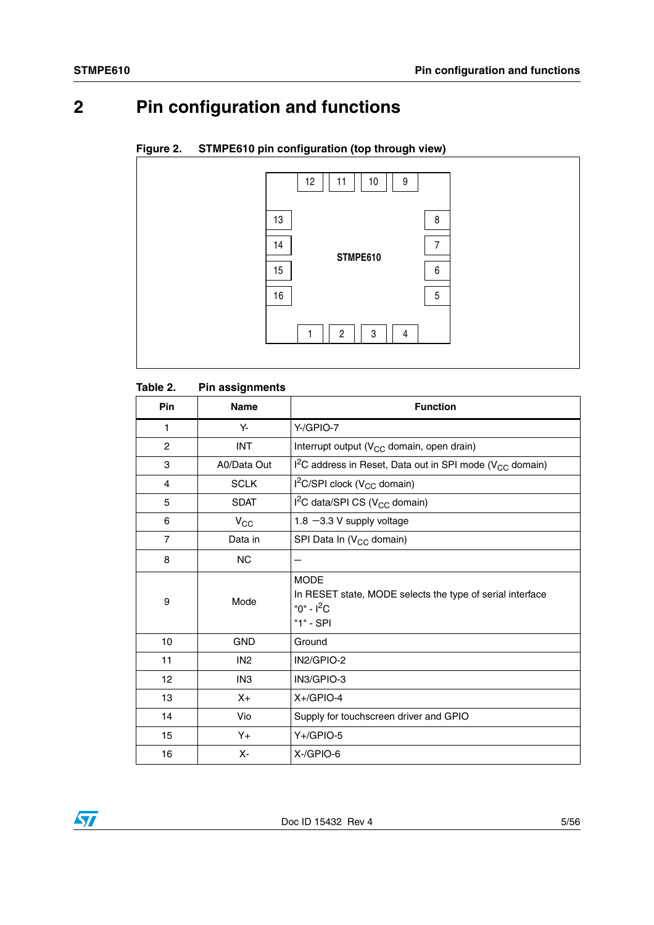# <span id="page-4-0"></span>**2 Pin configuration and functions**

### **Figure 2. STMPE610 pin configuration (top through view)**



### Table 2. **Pin assignments**

| Pin            | <b>Name</b>     | <b>Function</b>                                                                                       |
|----------------|-----------------|-------------------------------------------------------------------------------------------------------|
| $\mathbf{1}$   | Υ-              | Y-/GPIO-7                                                                                             |
| $\overline{2}$ | <b>INT</b>      | Interrupt output (V <sub>CC</sub> domain, open drain)                                                 |
| 3              | A0/Data Out     | $I^2C$ address in Reset, Data out in SPI mode (V <sub>CC</sub> domain)                                |
| 4              | <b>SCLK</b>     | $I^2C/SPI$ clock (V <sub>CC</sub> domain)                                                             |
| 5              | <b>SDAT</b>     | I <sup>2</sup> C data/SPI CS (V <sub>CC</sub> domain)                                                 |
| 6              | $V_{\rm CC}$    | 1.8 $-3.3$ V supply voltage                                                                           |
| $\overline{7}$ | Data in         | SPI Data In (V <sub>CC</sub> domain)                                                                  |
| 8              | <b>NC</b>       |                                                                                                       |
| 9              | Mode            | <b>MODE</b><br>In RESET state, MODE selects the type of serial interface<br>"0" - $I^2C$<br>"1" - SPI |
| 10             | <b>GND</b>      | Ground                                                                                                |
| 11             | IN <sub>2</sub> | IN2/GPIO-2                                                                                            |
| 12             | IN <sub>3</sub> | IN3/GPIO-3                                                                                            |
| 13             | $X_{+}$         | $X +$ GPIO-4                                                                                          |
| 14             | Vio             | Supply for touchscreen driver and GPIO                                                                |
| 15             | $Y_{+}$         | $Y +$ /GPIO-5                                                                                         |
| 16             | X-              | X-/GPIO-6                                                                                             |

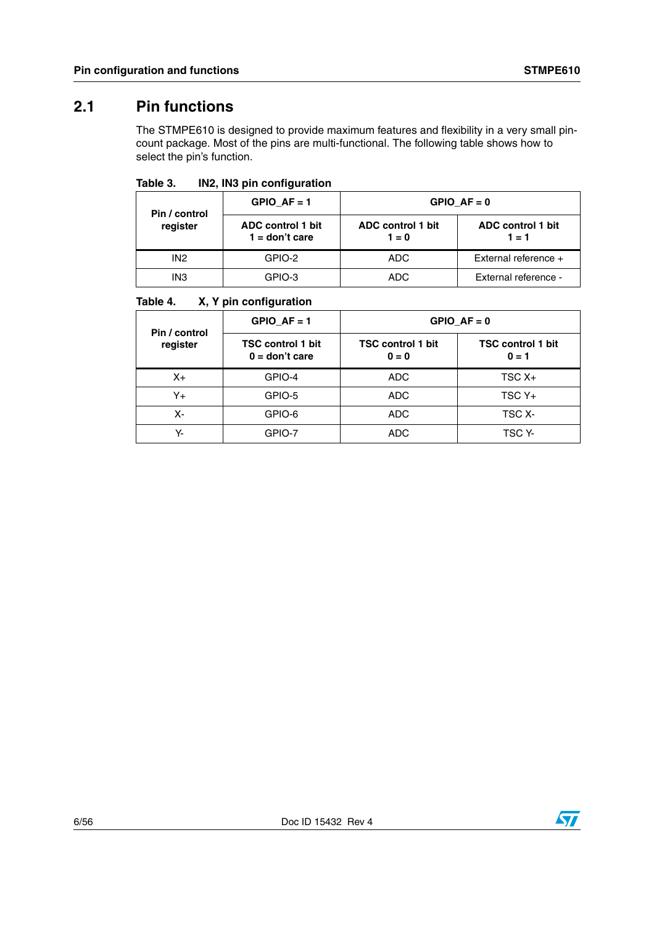## <span id="page-5-0"></span>**2.1 Pin functions**

The STMPE610 is designed to provide maximum features and flexibility in a very small pincount package. Most of the pins are multi-functional. The following table shows how to select the pin's function.

Table 3. **IN2, IN3 pin configuration** 

| Pin / control<br>register | GPIO $AF = 1$                         | GPIO $AF = 0$                |                                     |  |
|---------------------------|---------------------------------------|------------------------------|-------------------------------------|--|
|                           | ADC control 1 bit<br>$1 =$ don't care | ADC control 1 bit<br>$1 = 0$ | <b>ADC</b> control 1 bit<br>$1 = 1$ |  |
| IN <sub>2</sub>           | GPIO-2                                | ADC.                         | External reference $+$              |  |
| IN <sub>3</sub>           | GPIO-3                                | ADC.                         | External reference -                |  |

### Table 4. **X, Y pin configuration**

| Pin / control<br>register | GPIO $AF = 1$                                | GPIO $AF = 0$                       |                                     |  |
|---------------------------|----------------------------------------------|-------------------------------------|-------------------------------------|--|
|                           | <b>TSC control 1 bit</b><br>$0 =$ don't care | <b>TSC control 1 bit</b><br>$0 = 0$ | <b>TSC control 1 bit</b><br>$0 = 1$ |  |
| $X_{+}$                   | GPIO-4                                       | <b>ADC</b>                          | $TSCX+$                             |  |
| Y+                        | GPIO-5                                       | ADC.                                | $TSCY+$                             |  |
| Х-                        | GPIO-6                                       | ADC.                                | TSC X-                              |  |
| Y-                        | GPIO-7                                       | <b>ADC</b>                          | TSC Y-                              |  |

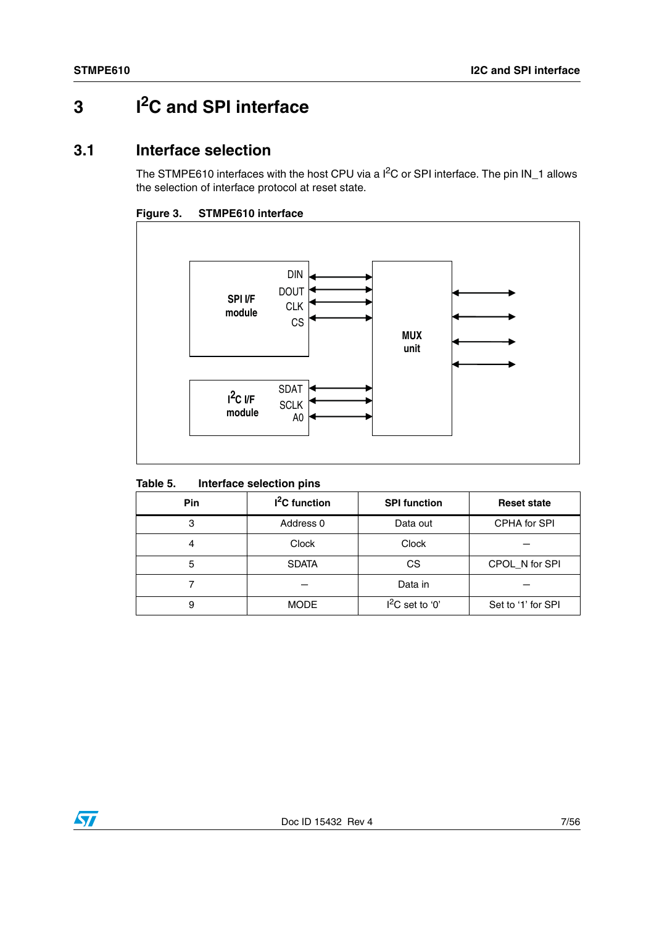# <span id="page-6-0"></span>**3 I2C and SPI interface**

## <span id="page-6-1"></span>**3.1 Interface selection**

The STMPE610 interfaces with the host CPU via a I<sup>2</sup>C or SPI interface. The pin IN\_1 allows the selection of interface protocol at reset state.





### Table 5. **Interface selection pins**

| <b>Pin</b> | $I2C$ function | <b>SPI function</b> | <b>Reset state</b> |
|------------|----------------|---------------------|--------------------|
| 3          | Address 0      | Data out            | CPHA for SPI       |
| 4          | Clock          | Clock               |                    |
| 5          | <b>SDATA</b>   | CS                  | CPOL_N for SPI     |
|            |                | Data in             |                    |
| 9          | <b>MODE</b>    | $I^2C$ set to '0'   | Set to '1' for SPI |

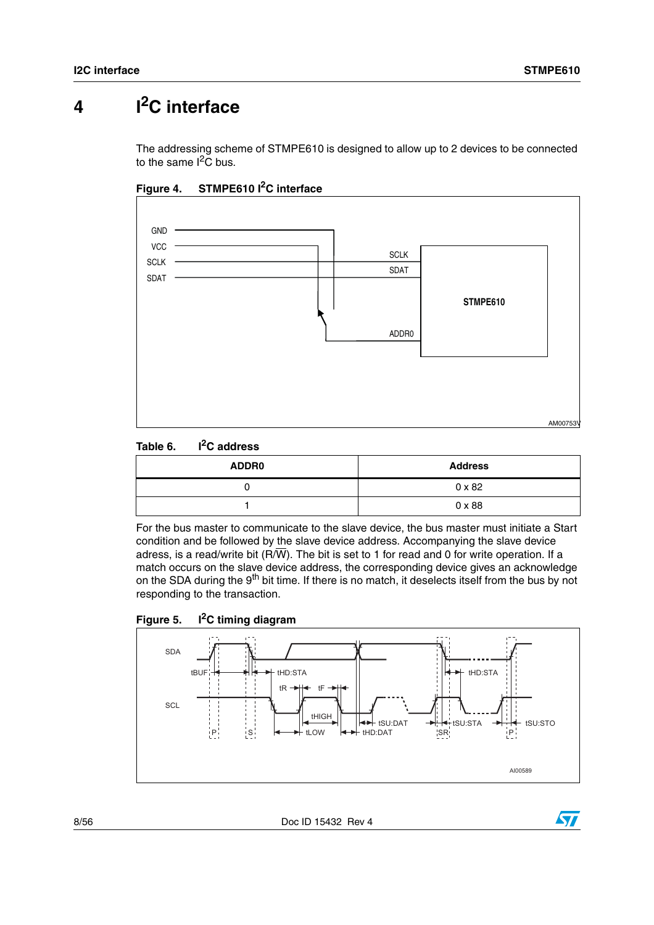# <span id="page-7-0"></span>**4 I2C interface**

The addressing scheme of STMPE610 is designed to allow up to 2 devices to be connected to the same  $I^2\tilde{C}$  bus.



**Figure 4. STMPE610 I2C interface**



| <b>ADDR0</b> | <b>Address</b> |  |
|--------------|----------------|--|
|              | $0 \times 82$  |  |
|              | $0 \times 88$  |  |

For the bus master to communicate to the slave device, the bus master must initiate a Start condition and be followed by the slave device address. Accompanying the slave device adress, is a read/write bit ( $R/\overline{W}$ ). The bit is set to 1 for read and 0 for write operation. If a match occurs on the slave device address, the corresponding device gives an acknowledge on the SDA during the 9<sup>th</sup> bit time. If there is no match, it deselects itself from the bus by not responding to the transaction.





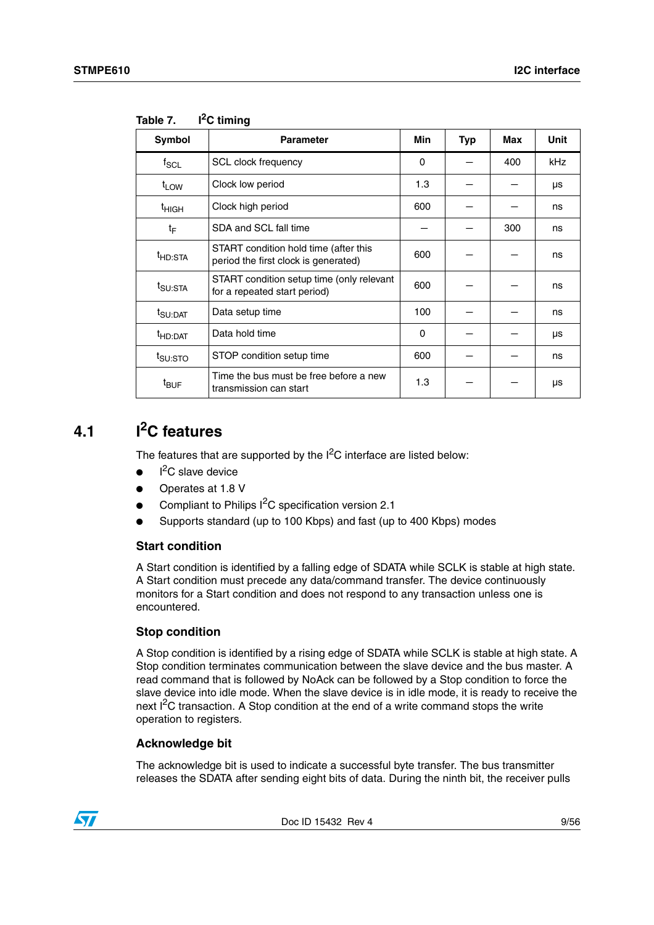| Symbol              | <b>Parameter</b>                                                              | Min | <b>Typ</b> | Max | <b>Unit</b> |
|---------------------|-------------------------------------------------------------------------------|-----|------------|-----|-------------|
| $f_{\rm SCL}$       | <b>SCL clock frequency</b>                                                    | 0   |            | 400 | kHz         |
| $t_{LOW}$           | Clock low period                                                              | 1.3 |            |     | μs          |
| <sup>t</sup> HIGH   | Clock high period                                                             | 600 |            |     | ns          |
| $t_{\text{F}}$      | SDA and SCL fall time                                                         |     |            | 300 | ns          |
| <sup>t</sup> HD:STA | START condition hold time (after this<br>period the first clock is generated) | 600 |            |     | ns          |
| t <sub>SU:STA</sub> | START condition setup time (only relevant<br>for a repeated start period)     | 600 |            |     | ns          |
| t <sub>SU:DAT</sub> | Data setup time                                                               | 100 |            |     | ns          |
| <sup>t</sup> HD:DAT | Data hold time                                                                | 0   |            |     | μs          |
| t <sub>SU:STO</sub> | STOP condition setup time                                                     | 600 |            |     | ns          |
| $t_{\text{BUF}}$    | Time the bus must be free before a new<br>transmission can start              | 1.3 |            |     | μs          |

**Table 7. I2C timing**

## <span id="page-8-0"></span>**4.1 I2C features**

The features that are supported by the  $I<sup>2</sup>C$  interface are listed below:

- $\bullet$  $I<sup>2</sup>C$  slave device
- Operates at 1.8 V
- Compliant to Philips I<sup>2</sup>C specification version 2.1
- Supports standard (up to 100 Kbps) and fast (up to 400 Kbps) modes

### **Start condition**

A Start condition is identified by a falling edge of SDATA while SCLK is stable at high state. A Start condition must precede any data/command transfer. The device continuously monitors for a Start condition and does not respond to any transaction unless one is encountered.

### **Stop condition**

A Stop condition is identified by a rising edge of SDATA while SCLK is stable at high state. A Stop condition terminates communication between the slave device and the bus master. A read command that is followed by NoAck can be followed by a Stop condition to force the slave device into idle mode. When the slave device is in idle mode, it is ready to receive the next  $I<sup>2</sup>C$  transaction. A Stop condition at the end of a write command stops the write operation to registers.

### **Acknowledge bit**

The acknowledge bit is used to indicate a successful byte transfer. The bus transmitter releases the SDATA after sending eight bits of data. During the ninth bit, the receiver pulls

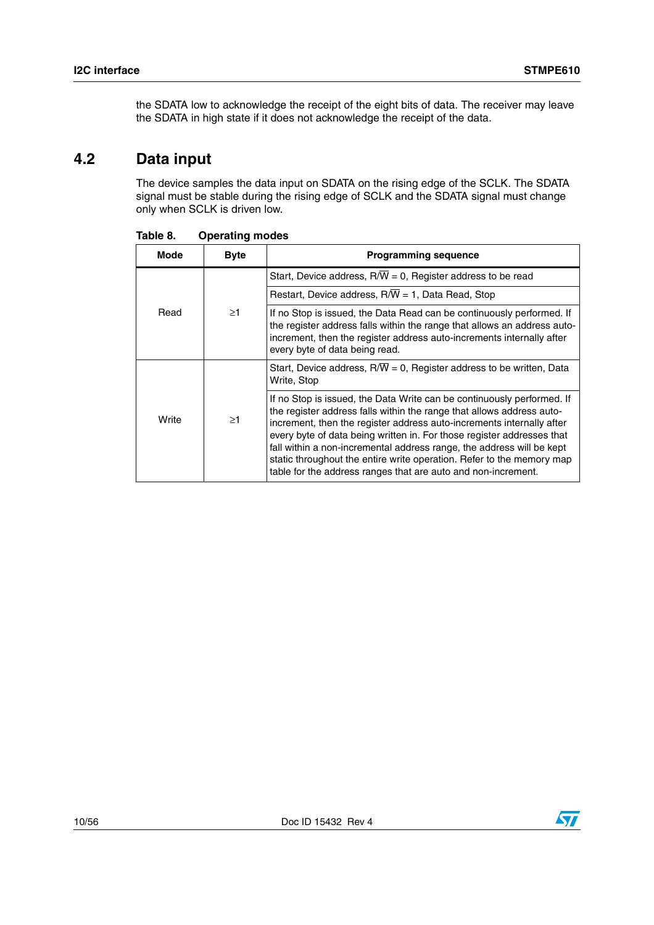the SDATA low to acknowledge the receipt of the eight bits of data. The receiver may leave the SDATA in high state if it does not acknowledge the receipt of the data.

# <span id="page-9-0"></span>**4.2 Data input**

The device samples the data input on SDATA on the rising edge of the SCLK. The SDATA signal must be stable during the rising edge of SCLK and the SDATA signal must change only when SCLK is driven low.

| Mode             | <b>Byte</b>                                                                                                                                                                                                                                                  | <b>Programming sequence</b>                                                                                                                                                                                                                                                                                                                                                                                                                                                                                           |
|------------------|--------------------------------------------------------------------------------------------------------------------------------------------------------------------------------------------------------------------------------------------------------------|-----------------------------------------------------------------------------------------------------------------------------------------------------------------------------------------------------------------------------------------------------------------------------------------------------------------------------------------------------------------------------------------------------------------------------------------------------------------------------------------------------------------------|
|                  |                                                                                                                                                                                                                                                              | Start, Device address, $R/\overline{W} = 0$ , Register address to be read                                                                                                                                                                                                                                                                                                                                                                                                                                             |
|                  |                                                                                                                                                                                                                                                              | Restart, Device address, $R/\overline{W}$ = 1, Data Read, Stop                                                                                                                                                                                                                                                                                                                                                                                                                                                        |
| $\geq$ 1<br>Read | If no Stop is issued, the Data Read can be continuously performed. If<br>the register address falls within the range that allows an address auto-<br>increment, then the register address auto-increments internally after<br>every byte of data being read. |                                                                                                                                                                                                                                                                                                                                                                                                                                                                                                                       |
|                  |                                                                                                                                                                                                                                                              | Start, Device address, $R/\overline{W} = 0$ , Register address to be written, Data<br>Write, Stop                                                                                                                                                                                                                                                                                                                                                                                                                     |
| Write            | $\geq$ 1                                                                                                                                                                                                                                                     | If no Stop is issued, the Data Write can be continuously performed. If<br>the register address falls within the range that allows address auto-<br>increment, then the register address auto-increments internally after<br>every byte of data being written in. For those register addresses that<br>fall within a non-incremental address range, the address will be kept<br>static throughout the entire write operation. Refer to the memory map<br>table for the address ranges that are auto and non-increment. |

**Table 8. Operating modes**

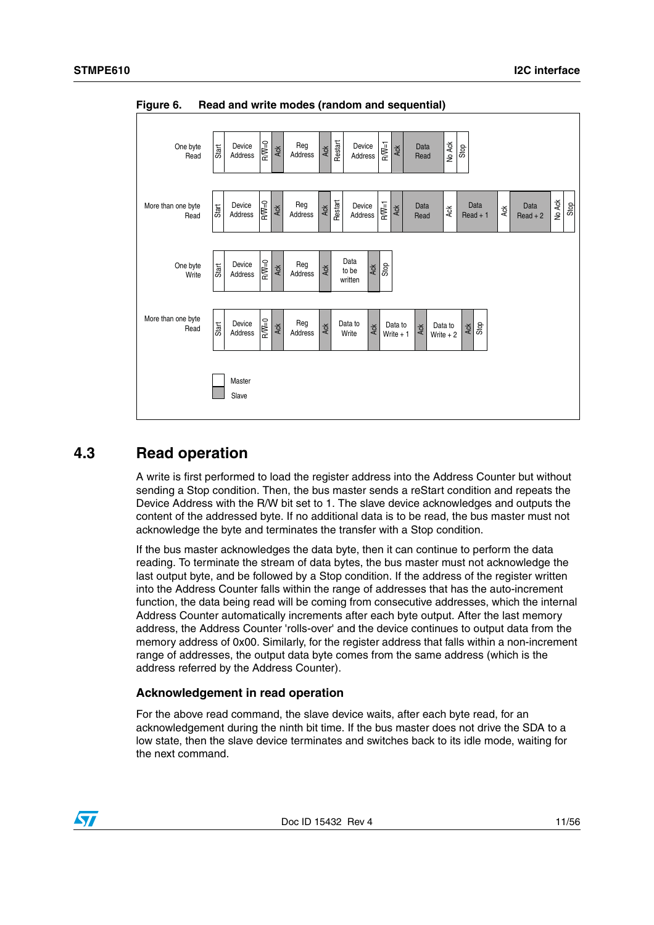

**Figure 6. Read and write modes (random and sequential)**

## <span id="page-10-0"></span>**4.3 Read operation**

A write is first performed to load the register address into the Address Counter but without sending a Stop condition. Then, the bus master sends a reStart condition and repeats the Device Address with the R/W bit set to 1. The slave device acknowledges and outputs the content of the addressed byte. If no additional data is to be read, the bus master must not acknowledge the byte and terminates the transfer with a Stop condition.

If the bus master acknowledges the data byte, then it can continue to perform the data reading. To terminate the stream of data bytes, the bus master must not acknowledge the last output byte, and be followed by a Stop condition. If the address of the register written into the Address Counter falls within the range of addresses that has the auto-increment function, the data being read will be coming from consecutive addresses, which the internal Address Counter automatically increments after each byte output. After the last memory address, the Address Counter 'rolls-over' and the device continues to output data from the memory address of 0x00. Similarly, for the register address that falls within a non-increment range of addresses, the output data byte comes from the same address (which is the address referred by the Address Counter).

### **Acknowledgement in read operation**

For the above read command, the slave device waits, after each byte read, for an acknowledgement during the ninth bit time. If the bus master does not drive the SDA to a low state, then the slave device terminates and switches back to its idle mode, waiting for the next command

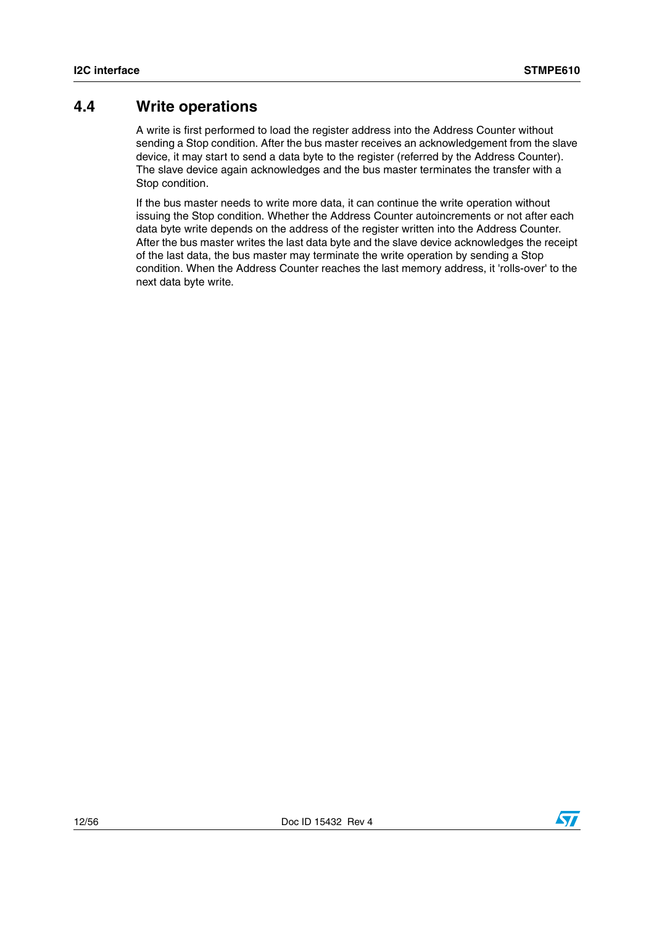## <span id="page-11-0"></span>**4.4 Write operations**

A write is first performed to load the register address into the Address Counter without sending a Stop condition. After the bus master receives an acknowledgement from the slave device, it may start to send a data byte to the register (referred by the Address Counter). The slave device again acknowledges and the bus master terminates the transfer with a Stop condition.

If the bus master needs to write more data, it can continue the write operation without issuing the Stop condition. Whether the Address Counter autoincrements or not after each data byte write depends on the address of the register written into the Address Counter. After the bus master writes the last data byte and the slave device acknowledges the receipt of the last data, the bus master may terminate the write operation by sending a Stop condition. When the Address Counter reaches the last memory address, it 'rolls-over' to the next data byte write.

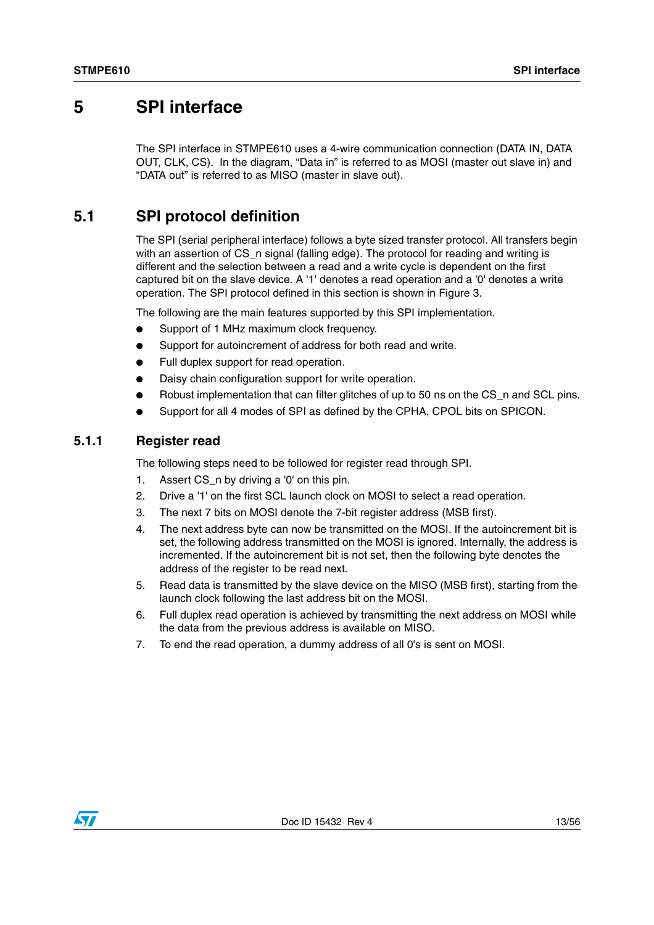## <span id="page-12-0"></span>**5 SPI interface**

The SPI interface in STMPE610 uses a 4-wire communication connection (DATA IN, DATA OUT, CLK, CS). In the diagram, "Data in" is referred to as MOSI (master out slave in) and "DATA out" is referred to as MISO (master in slave out).

## <span id="page-12-1"></span>**5.1 SPI protocol definition**

The SPI (serial peripheral interface) follows a byte sized transfer protocol. All transfers begin with an assertion of CS n signal (falling edge). The protocol for reading and writing is different and the selection between a read and a write cycle is dependent on the first captured bit on the slave device. A '1' denotes a read operation and a '0' denotes a write operation. The SPI protocol defined in this section is shown in Figure 3.

The following are the main features supported by this SPI implementation.

- Support of 1 MHz maximum clock frequency.
- Support for autoincrement of address for both read and write.
- Full duplex support for read operation.
- Daisy chain configuration support for write operation.
- Robust implementation that can filter glitches of up to 50 ns on the CS n and SCL pins.
- Support for all 4 modes of SPI as defined by the CPHA, CPOL bits on SPICON.

### <span id="page-12-2"></span>**5.1.1 Register read**

The following steps need to be followed for register read through SPI.

- 1. Assert CS n by driving a '0' on this pin.
- 2. Drive a '1' on the first SCL launch clock on MOSI to select a read operation.
- 3. The next 7 bits on MOSI denote the 7-bit register address (MSB first).
- 4. The next address byte can now be transmitted on the MOSI. If the autoincrement bit is set, the following address transmitted on the MOSI is ignored. Internally, the address is incremented. If the autoincrement bit is not set, then the following byte denotes the address of the register to be read next.
- 5. Read data is transmitted by the slave device on the MISO (MSB first), starting from the launch clock following the last address bit on the MOSI.
- 6. Full duplex read operation is achieved by transmitting the next address on MOSI while the data from the previous address is available on MISO.
- 7. To end the read operation, a dummy address of all 0's is sent on MOSI.

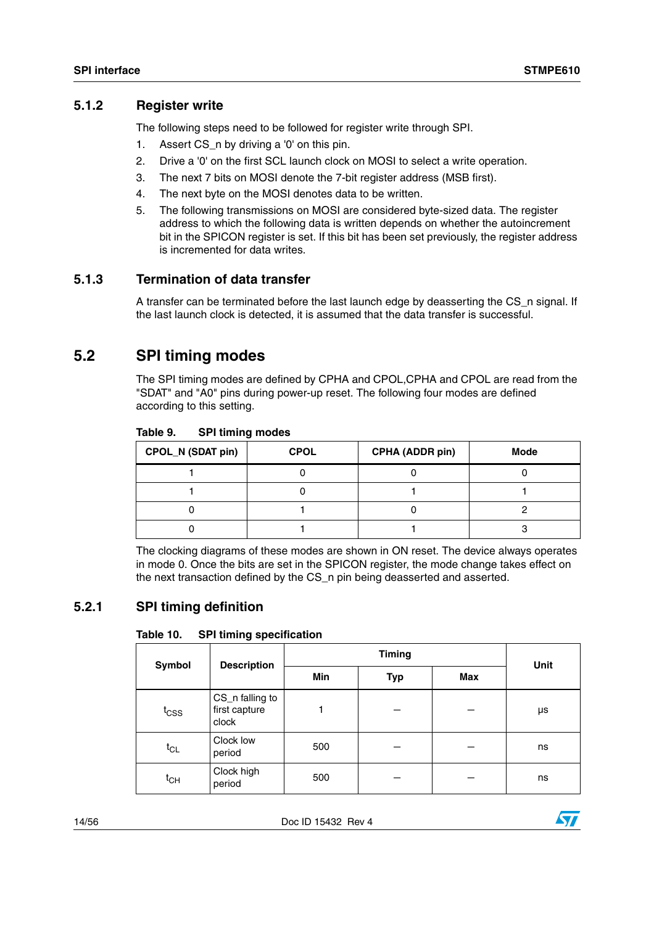### <span id="page-13-0"></span>**5.1.2 Register write**

The following steps need to be followed for register write through SPI.

- 1. Assert CS n by driving a '0' on this pin.
- 2. Drive a '0' on the first SCL launch clock on MOSI to select a write operation.
- 3. The next 7 bits on MOSI denote the 7-bit register address (MSB first).
- 4. The next byte on the MOSI denotes data to be written.
- 5. The following transmissions on MOSI are considered byte-sized data. The register address to which the following data is written depends on whether the autoincrement bit in the SPICON register is set. If this bit has been set previously, the register address is incremented for data writes.

### <span id="page-13-1"></span>**5.1.3 Termination of data transfer**

A transfer can be terminated before the last launch edge by deasserting the CS\_n signal. If the last launch clock is detected, it is assumed that the data transfer is successful.

## <span id="page-13-2"></span>**5.2 SPI timing modes**

The SPI timing modes are defined by CPHA and CPOL,CPHA and CPOL are read from the "SDAT" and "A0" pins during power-up reset. The following four modes are defined according to this setting.

| Table 9. | <b>SPI timing modes</b> |  |
|----------|-------------------------|--|
|----------|-------------------------|--|

| <b>CPOL_N (SDAT pin)</b> | <b>CPOL</b> | <b>CPHA (ADDR pin)</b> | Mode |
|--------------------------|-------------|------------------------|------|
|                          |             |                        |      |
|                          |             |                        |      |
|                          |             |                        |      |
|                          |             |                        |      |

The clocking diagrams of these modes are shown in ON reset. The device always operates in mode 0. Once the bits are set in the SPICON register, the mode change takes effect on the next transaction defined by the CS\_n pin being deasserted and asserted.

## <span id="page-13-3"></span>**5.2.1 SPI timing definition**

### Table 10. **SPI timing specification**

| Symbol                       | <b>Description</b>                        |     | <b>Unit</b> |     |    |
|------------------------------|-------------------------------------------|-----|-------------|-----|----|
|                              |                                           | Min | <b>Typ</b>  | Max |    |
| $t_{\text{CSS}}$             | CS_n falling to<br>first capture<br>clock |     |             |     | μs |
| $\mathfrak{t}_{\textsf{CL}}$ | Clock low<br>period                       | 500 |             |     | ns |
| $t_{CH}$                     | Clock high<br>period                      | 500 |             |     | ns |

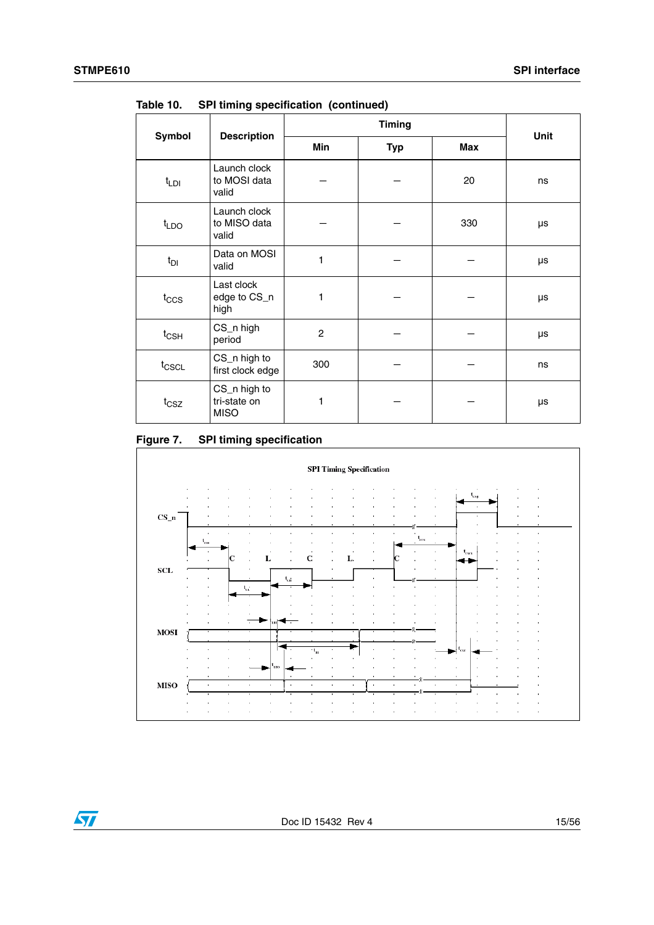|                                                                 |                                       |                |            | <b>Unit</b> |    |
|-----------------------------------------------------------------|---------------------------------------|----------------|------------|-------------|----|
| Symbol                                                          | <b>Description</b>                    | Min            | <b>Typ</b> | <b>Max</b>  |    |
| $t_{LDI}$                                                       | Launch clock<br>to MOSI data<br>valid |                |            | 20          | ns |
| t <sub>LDO</sub>                                                | Launch clock<br>to MISO data<br>valid |                |            | 330         | μs |
| $t_{DI}$                                                        | Data on MOSI<br>valid                 | 1              |            |             | μs |
| $t_{\rm CCS}$                                                   | Last clock<br>edge to CS_n<br>high    | 1              |            |             | μs |
| $t_{\text{CSH}}$                                                | CS_n high<br>period                   | $\overline{c}$ |            |             | μs |
| t <sub>CSCL</sub>                                               | CS_n high to<br>first clock edge      | 300            |            |             | ns |
| CS_n high to<br>tri-state on<br>$t_{\text{CSZ}}$<br><b>MISO</b> |                                       | 1              |            |             | μs |

**Table 10. SPI timing specification (continued)**

### **Figure 7. SPI timing specification**

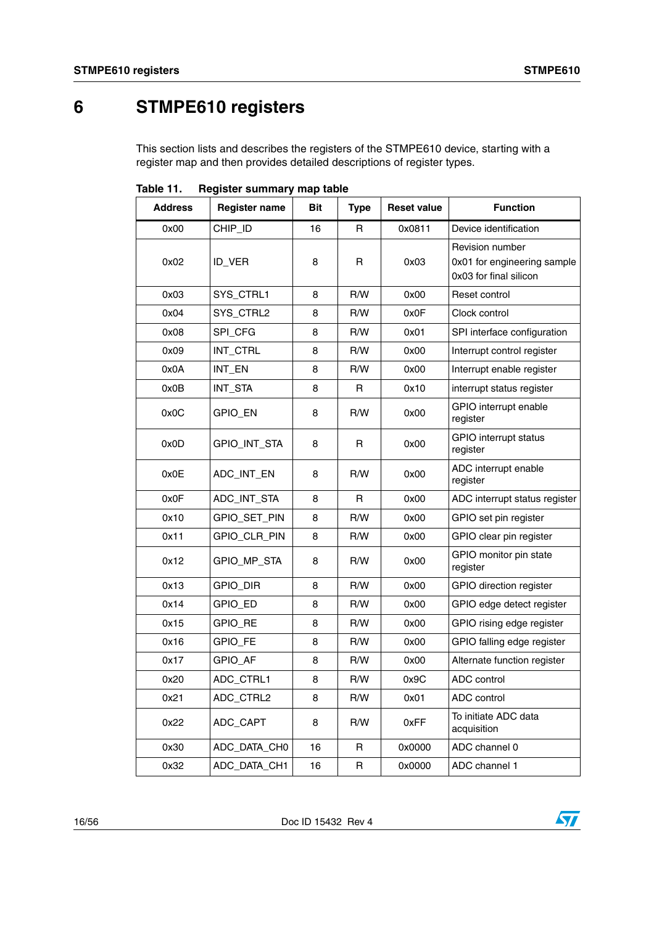# <span id="page-15-0"></span>**6 STMPE610 registers**

This section lists and describes the registers of the STMPE610 device, starting with a register map and then provides detailed descriptions of register types.

| <b>Address</b> | <b>Register name</b> | <b>Bit</b> | <b>Type</b> | <b>Reset value</b> | <b>Function</b>                                                          |
|----------------|----------------------|------------|-------------|--------------------|--------------------------------------------------------------------------|
| 0x00           | CHIP_ID              | 16         | R           | 0x0811             | Device identification                                                    |
| 0x02           | ID_VER               | 8          | R           | 0x03               | Revision number<br>0x01 for engineering sample<br>0x03 for final silicon |
| 0x03           | SYS_CTRL1            | 8          | R/W         | 0x00               | Reset control                                                            |
| 0x04           | SYS_CTRL2            | 8          | R/W         | 0x0F               | Clock control                                                            |
| 0x08           | SPI_CFG              | 8          | R/W         | 0x01               | SPI interface configuration                                              |
| 0x09           | INT_CTRL             | 8          | R/W         | 0x00               | Interrupt control register                                               |
| 0x0A           | INT_EN               | 8          | R/W         | 0x00               | Interrupt enable register                                                |
| 0x0B           | INT_STA              | 8          | R           | 0x10               | interrupt status register                                                |
| 0x0C           | GPIO_EN              | 8          | R/W         | 0x00               | GPIO interrupt enable<br>register                                        |
| 0x0D           | GPIO_INT_STA         | 8          | R           | 0x00               | <b>GPIO</b> interrupt status<br>register                                 |
| 0x0E           | ADC_INT_EN           | 8          | R/W         | 0x00               | ADC interrupt enable<br>register                                         |
| 0x0F           | ADC_INT_STA          | 8          | R           | 0x00               | ADC interrupt status register                                            |
| 0x10           | GPIO_SET_PIN         | 8          | R/W         | 0x00               | GPIO set pin register                                                    |
| 0x11           | GPIO_CLR_PIN         | 8          | R/W         | 0x00               | GPIO clear pin register                                                  |
| 0x12           | GPIO_MP_STA          | 8          | R/W         | 0x00               | GPIO monitor pin state<br>register                                       |
| 0x13           | GPIO_DIR             | 8          | R/W         | 0x00               | GPIO direction register                                                  |
| 0x14           | GPIO_ED              | 8          | R/W         | 0x00               | GPIO edge detect register                                                |
| 0x15           | GPIO_RE              | 8          | R/W         | 0x00               | GPIO rising edge register                                                |
| 0x16           | GPIO_FE              | 8          | R/W         | 0x00               | GPIO falling edge register                                               |
| 0x17           | GPIO_AF              | 8          | R/W         | 0x00               | Alternate function register                                              |
| 0x20           | ADC_CTRL1            | 8          | R/W         | 0x9C               | ADC control                                                              |
| 0x21           | ADC_CTRL2            | 8          | R/W         | 0x01               | ADC control                                                              |
| 0x22           | ADC_CAPT             | 8          | R/W         | 0xFF               | To initiate ADC data<br>acquisition                                      |
| 0x30           | ADC_DATA_CH0         | 16         | R           | 0x0000             | ADC channel 0                                                            |
| 0x32           | ADC_DATA_CH1         | 16         | R           | 0x0000             | ADC channel 1                                                            |

Table 11. **Register summary map table** 

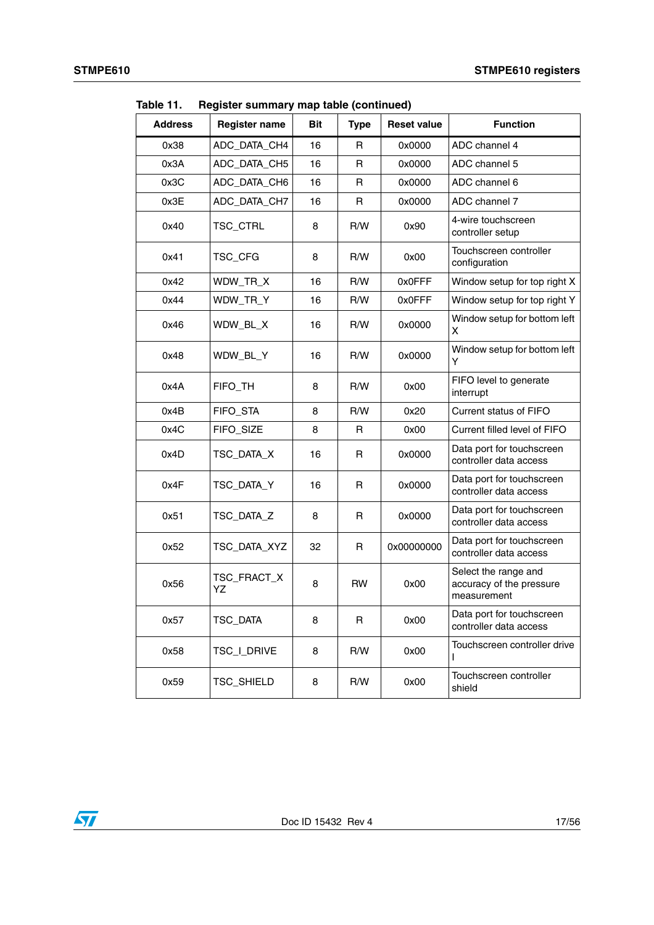| <b>Address</b> | $\frac{1}{2}$<br><b>Register name</b> | <b>Bit</b> | <b>Type</b>  | <b>Reset value</b> | <b>Function</b>                                                 |
|----------------|---------------------------------------|------------|--------------|--------------------|-----------------------------------------------------------------|
| 0x38           | ADC_DATA_CH4                          | 16         | R            | 0x0000             | ADC channel 4                                                   |
| 0x3A           | ADC_DATA_CH5                          | 16         | $\mathsf{R}$ | 0x0000             | ADC channel 5                                                   |
| 0x3C           | ADC_DATA_CH6                          | 16         | R            | 0x0000             | ADC channel 6                                                   |
| 0x3E           | ADC_DATA_CH7                          | 16         | R            | 0x0000             | ADC channel 7                                                   |
| 0x40           | TSC_CTRL                              | 8          | R/W          | 0x90               | 4-wire touchscreen<br>controller setup                          |
| 0x41           | TSC_CFG                               | 8          | R/W          | 0x00               | Touchscreen controller<br>configuration                         |
| 0x42           | WDW_TR_X                              | 16         | R/W          | 0x0FFF             | Window setup for top right X                                    |
| 0x44           | WDW_TR_Y                              | 16         | R/W          | 0x0FFF             | Window setup for top right Y                                    |
| 0x46           | WDW_BL_X                              | 16         | R/W          | 0x0000             | Window setup for bottom left<br>x                               |
| 0x48           | WDW_BL_Y                              | 16         | R/W          | 0x0000             | Window setup for bottom left<br>Y                               |
| 0x4A           | FIFO TH                               | 8          | R/W          | 0x00               | FIFO level to generate<br>interrupt                             |
| 0x4B           | FIFO_STA                              | 8          | R/W          | 0x20               | Current status of FIFO                                          |
| 0x4C           | FIFO_SIZE                             | 8          | R            | 0x00               | Current filled level of FIFO                                    |
| 0x4D           | TSC_DATA_X                            | 16         | R            | 0x0000             | Data port for touchscreen<br>controller data access             |
| 0x4F           | TSC_DATA_Y                            | 16         | R            | 0x0000             | Data port for touchscreen<br>controller data access             |
| 0x51           | TSC_DATA_Z                            | 8          | R            | 0x0000             | Data port for touchscreen<br>controller data access             |
| 0x52           | TSC_DATA_XYZ                          | 32         | R            | 0x00000000         | Data port for touchscreen<br>controller data access             |
| 0x56           | TSC_FRACT_X<br>YΖ                     | 8          | <b>RW</b>    | 0x00               | Select the range and<br>accuracy of the pressure<br>measurement |
| 0x57           | TSC_DATA                              | 8          | R            | 0x00               | Data port for touchscreen<br>controller data access             |
| 0x58           | TSC_I_DRIVE                           | 8          | R/W          | 0x00               | Touchscreen controller drive<br>L                               |
| 0x59           | TSC_SHIELD                            | 8          | R/W          | 0x00               | Touchscreen controller<br>shield                                |

**Table 11. Register summary map table (continued)**



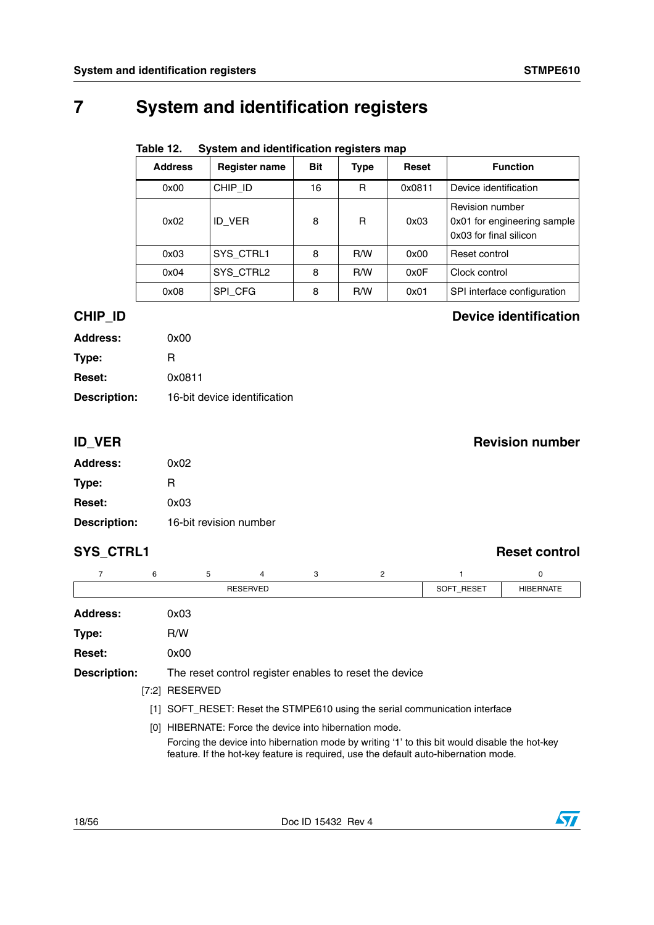# <span id="page-17-0"></span>**7 System and identification registers**

|         | System and identification registers map<br>Table 12. |                      |            |             |        |                                                                          |  |  |  |  |  |  |
|---------|------------------------------------------------------|----------------------|------------|-------------|--------|--------------------------------------------------------------------------|--|--|--|--|--|--|
|         | <b>Address</b>                                       | <b>Register name</b> | <b>Bit</b> | <b>Type</b> | Reset  | <b>Function</b>                                                          |  |  |  |  |  |  |
|         | 0x00                                                 | CHIP ID              | 16         | R           | 0x0811 | Device identification                                                    |  |  |  |  |  |  |
|         | 0x02                                                 | ID VER               | 8          | R           | 0x03   | Revision number<br>0x01 for engineering sample<br>0x03 for final silicon |  |  |  |  |  |  |
|         | 0x03                                                 | SYS CTRL1            | 8          | R/W         | 0x00   | Reset control                                                            |  |  |  |  |  |  |
|         | 0x04                                                 | SYS CTRL2            | 8          | R/W         | 0x0F   | Clock control                                                            |  |  |  |  |  |  |
|         | 0x08                                                 | SPI_CFG              | 8          | R/W         | 0x01   | SPI interface configuration                                              |  |  |  |  |  |  |
| CHIP ID |                                                      |                      |            |             |        | <b>Device identification</b>                                             |  |  |  |  |  |  |

| <b>Address:</b>     | 0x00                         |
|---------------------|------------------------------|
| Type:               | R                            |
| <b>Reset:</b>       | 0x0811                       |
| <b>Description:</b> | 16-bit device identification |

### **ID\_VER** Revision number

| <b>Address:</b>     | 0x02                   |
|---------------------|------------------------|
| Type:               | R                      |
| <b>Reset:</b>       | 0x03                   |
| <b>Description:</b> | 16-bit revision number |

## **SYS\_CTRL1** Reset control

|                     | 6 | 5                                                      | 4               | 3          | 2                                                      |                                                                                                                                                                                      | 0 |
|---------------------|---|--------------------------------------------------------|-----------------|------------|--------------------------------------------------------|--------------------------------------------------------------------------------------------------------------------------------------------------------------------------------------|---|
|                     |   |                                                        | <b>RESERVED</b> | SOFT RESET | <b>HIBERNATE</b>                                       |                                                                                                                                                                                      |   |
| Address:            |   | 0x03                                                   |                 |            |                                                        |                                                                                                                                                                                      |   |
| Type:               |   | R/W                                                    |                 |            |                                                        |                                                                                                                                                                                      |   |
| <b>Reset:</b>       |   | 0x00                                                   |                 |            |                                                        |                                                                                                                                                                                      |   |
| <b>Description:</b> |   |                                                        |                 |            | The reset control register enables to reset the device |                                                                                                                                                                                      |   |
|                     |   | [7:2] RESERVED                                         |                 |            |                                                        |                                                                                                                                                                                      |   |
|                     |   |                                                        |                 |            |                                                        | [1] SOFT RESET: Reset the STMPE610 using the serial communication interface                                                                                                          |   |
|                     |   | [0] HIBERNATE: Force the device into hibernation mode. |                 |            |                                                        | Forcing the device into hibernation mode by writing '1' to this bit would disable the hot-key<br>feature. If the hot-key feature is required, use the default auto-hibernation mode. |   |

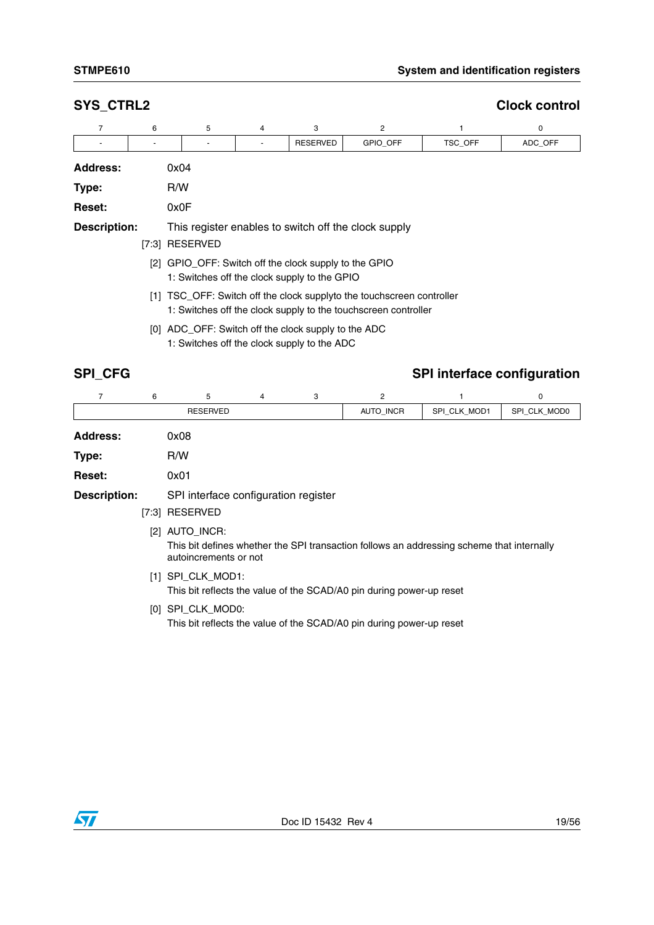### **SYS\_CTRL2** Clock control

| $\overline{7}$      | 6                                                                                                     | 5                                                   | 4 | 3        | $\overline{2}$                                                                                                                          |         | 0       |  |  |  |  |  |  |
|---------------------|-------------------------------------------------------------------------------------------------------|-----------------------------------------------------|---|----------|-----------------------------------------------------------------------------------------------------------------------------------------|---------|---------|--|--|--|--|--|--|
|                     |                                                                                                       |                                                     |   | RESERVED | GPIO_OFF                                                                                                                                | TSC_OFF | ADC_OFF |  |  |  |  |  |  |
| <b>Address:</b>     |                                                                                                       | 0x04                                                |   |          |                                                                                                                                         |         |         |  |  |  |  |  |  |
| Type:               |                                                                                                       | R/W                                                 |   |          |                                                                                                                                         |         |         |  |  |  |  |  |  |
| Reset:              |                                                                                                       | 0x0F                                                |   |          |                                                                                                                                         |         |         |  |  |  |  |  |  |
| <b>Description:</b> |                                                                                                       |                                                     |   |          | This register enables to switch off the clock supply                                                                                    |         |         |  |  |  |  |  |  |
|                     |                                                                                                       | [7:3] RESERVED                                      |   |          |                                                                                                                                         |         |         |  |  |  |  |  |  |
|                     | [2] GPIO OFF: Switch off the clock supply to the GPIO<br>1: Switches off the clock supply to the GPIO |                                                     |   |          |                                                                                                                                         |         |         |  |  |  |  |  |  |
|                     |                                                                                                       |                                                     |   |          | [1] TSC_OFF: Switch off the clock supplyto the touchscreen controller<br>1: Switches off the clock supply to the touchscreen controller |         |         |  |  |  |  |  |  |
|                     |                                                                                                       | [0] ADC_OFF: Switch off the clock supply to the ADC |   |          |                                                                                                                                         |         |         |  |  |  |  |  |  |

### 1: Switches off the clock supply to the ADC

## **SPI\_CFG** SPI\_CFG

|                     | 6 | 5                                                      | 4 | 3 | 2                                                                                         |              | 0            |
|---------------------|---|--------------------------------------------------------|---|---|-------------------------------------------------------------------------------------------|--------------|--------------|
|                     |   | <b>RESERVED</b>                                        |   |   | <b>AUTO INCR</b>                                                                          | SPI CLK MOD1 | SPI CLK MOD0 |
| <b>Address:</b>     |   | 0x08                                                   |   |   |                                                                                           |              |              |
| Type:               |   | R/W                                                    |   |   |                                                                                           |              |              |
| <b>Reset:</b>       |   | 0x01                                                   |   |   |                                                                                           |              |              |
| <b>Description:</b> |   | SPI interface configuration register<br>[7:3] RESERVED |   |   |                                                                                           |              |              |
|                     |   | [2] AUTO_INCR:<br>autoincrements or not                |   |   | This bit defines whether the SPI transaction follows an addressing scheme that internally |              |              |

- [1] SPI\_CLK\_MOD1: This bit reflects the value of the SCAD/A0 pin during power-up reset
- [0] SPI\_CLK\_MOD0:

This bit reflects the value of the SCAD/A0 pin during power-up reset

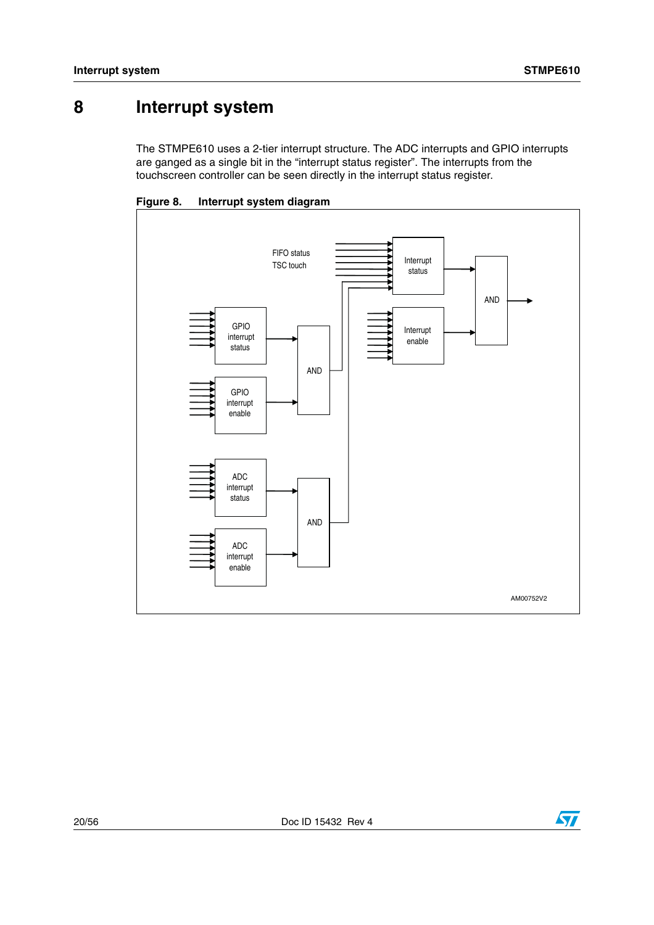# <span id="page-19-0"></span>**8 Interrupt system**

The STMPE610 uses a 2-tier interrupt structure. The ADC interrupts and GPIO interrupts are ganged as a single bit in the "interrupt status register". The interrupts from the touchscreen controller can be seen directly in the interrupt status register.



<span id="page-19-1"></span>**Figure 8. Interrupt system diagram**

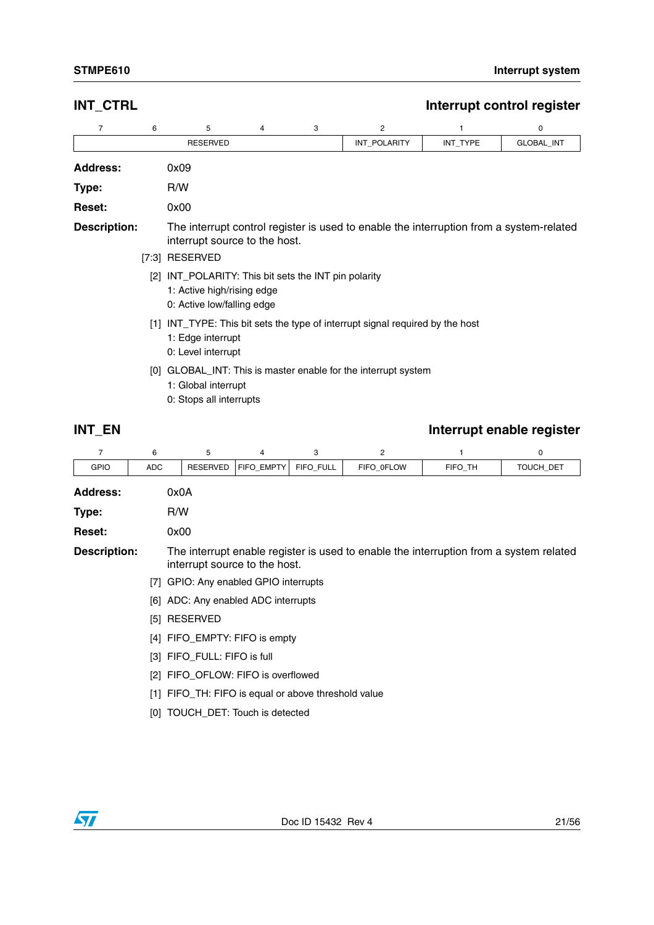## **Address:** 0x09 **Type:** R/W **Reset:** 0x00 **Description:** The interrupt control register is used to enable the interruption from a system-related interrupt source to the host. 76543 2 1 0 RESERVED **INT\_POLARITY** INT\_TYPE GLOBAL\_INT [7:3] RESERVED [2] INT\_POLARITY: This bit sets the INT pin polarity 1: Active high/rising edge 0: Active low/falling edge [1] INT\_TYPE: This bit sets the type of interrupt signal required by the host 1: Edge interrupt 0: Level interrupt [0] GLOBAL\_INT: This is master enable for the interrupt system

**INT\_CTRL INT\_CTRL** 

- 1: Global interrupt
	- 0: Stops all interrupts

### **INT\_EN** INT\_EN

| 7                   | 6          | 5                                               | 4          | 3         | 2                                                                                      |         | 0         |
|---------------------|------------|-------------------------------------------------|------------|-----------|----------------------------------------------------------------------------------------|---------|-----------|
| <b>GPIO</b>         | <b>ADC</b> | <b>RESERVED</b>                                 | FIFO_EMPTY | FIFO_FULL | FIFO_0FLOW                                                                             | FIFO_TH | TOUCH_DET |
| <b>Address:</b>     |            | 0x0A                                            |            |           |                                                                                        |         |           |
| Type:               |            | R/W                                             |            |           |                                                                                        |         |           |
| <b>Reset:</b>       |            | 0x00                                            |            |           |                                                                                        |         |           |
| <b>Description:</b> |            | interrupt source to the host.                   |            |           | The interrupt enable register is used to enable the interruption from a system related |         |           |
|                     | [7]        | GPIO: Any enabled GPIO interrupts               |            |           |                                                                                        |         |           |
|                     |            | [6] ADC: Any enabled ADC interrupts             |            |           |                                                                                        |         |           |
|                     | [5]        | RESERVED                                        |            |           |                                                                                        |         |           |
|                     |            | [4] FIFO_EMPTY: FIFO is empty                   |            |           |                                                                                        |         |           |
|                     |            | [3] FIFO FULL: FIFO is full                     |            |           |                                                                                        |         |           |
|                     |            | [2] FIFO_OFLOW: FIFO is overflowed              |            |           |                                                                                        |         |           |
|                     | [1]        | FIFO_TH: FIFO is equal or above threshold value |            |           |                                                                                        |         |           |
|                     |            | [0] TOUCH_DET: Touch is detected                |            |           |                                                                                        |         |           |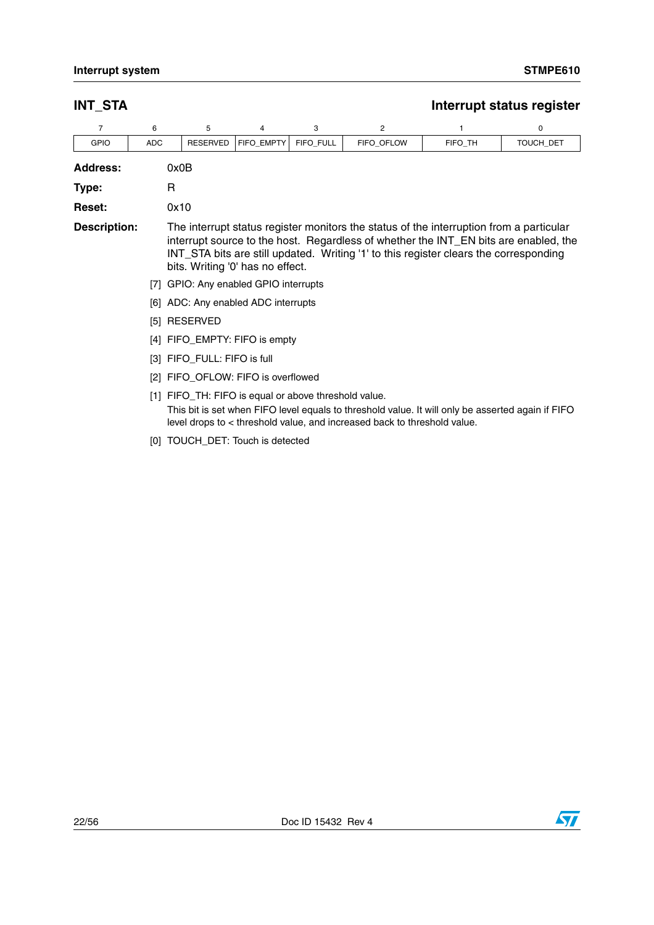## **INT\_STA** Interrupt status register

| 7                   | 6          | 5                                                    | 4          | 3         | 2                                                                                                                                                                                                                                                                        |         | 0         |
|---------------------|------------|------------------------------------------------------|------------|-----------|--------------------------------------------------------------------------------------------------------------------------------------------------------------------------------------------------------------------------------------------------------------------------|---------|-----------|
| <b>GPIO</b>         | <b>ADC</b> | <b>RESERVED</b>                                      | FIFO EMPTY | FIFO_FULL | FIFO OFLOW                                                                                                                                                                                                                                                               | FIFO TH | TOUCH_DET |
| <b>Address:</b>     |            | 0x0B                                                 |            |           |                                                                                                                                                                                                                                                                          |         |           |
| Type:               | R          |                                                      |            |           |                                                                                                                                                                                                                                                                          |         |           |
| <b>Reset:</b>       |            | 0x10                                                 |            |           |                                                                                                                                                                                                                                                                          |         |           |
| <b>Description:</b> |            | bits. Writing '0' has no effect.                     |            |           | The interrupt status register monitors the status of the interruption from a particular<br>interrupt source to the host. Regardless of whether the INT_EN bits are enabled, the<br>INT_STA bits are still updated. Writing '1' to this register clears the corresponding |         |           |
|                     |            | [7] GPIO: Any enabled GPIO interrupts                |            |           |                                                                                                                                                                                                                                                                          |         |           |
|                     |            | [6] ADC: Any enabled ADC interrupts                  |            |           |                                                                                                                                                                                                                                                                          |         |           |
|                     |            | [5] RESERVED                                         |            |           |                                                                                                                                                                                                                                                                          |         |           |
|                     |            | [4] FIFO_EMPTY: FIFO is empty                        |            |           |                                                                                                                                                                                                                                                                          |         |           |
|                     |            | [3] FIFO_FULL: FIFO is full                          |            |           |                                                                                                                                                                                                                                                                          |         |           |
|                     |            | [2] FIFO_OFLOW: FIFO is overflowed                   |            |           |                                                                                                                                                                                                                                                                          |         |           |
|                     |            | [1] FIFO_TH: FIFO is equal or above threshold value. |            |           | This bit is set when FIFO level equals to threshold value. It will only be asserted again if FIFO<br>level drops to < threshold value, and increased back to threshold value.                                                                                            |         |           |
|                     |            | [0] TOUCH_DET: Touch is detected                     |            |           |                                                                                                                                                                                                                                                                          |         |           |

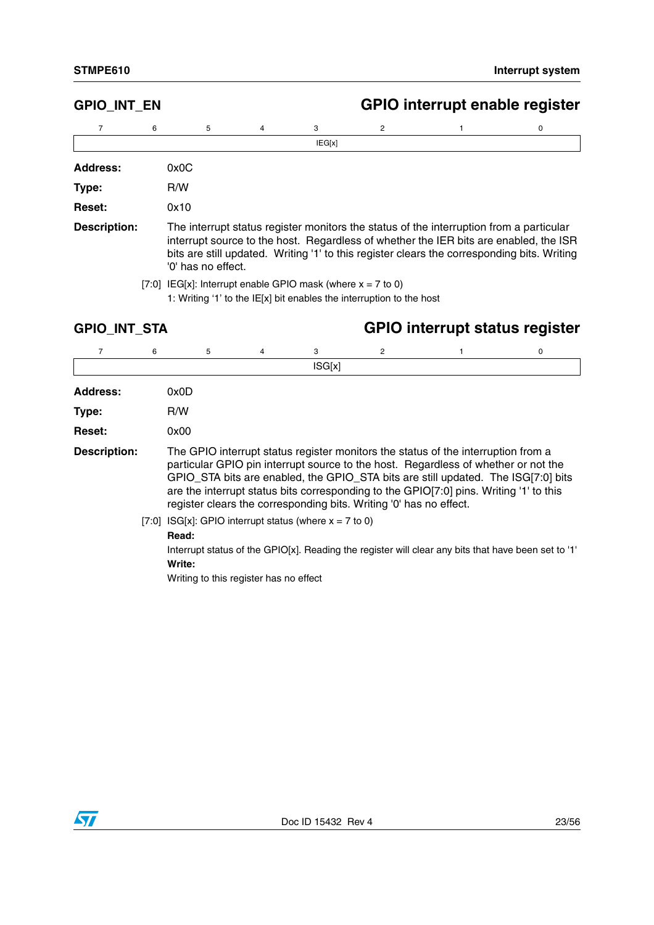$\mathsf{l}$ 

# **GPIO\_INT\_EN GPIO interrupt enable register**

|                     | 6    | 5                  | 4 | 3      | 2 |                                                                                                                                                                                                                                                                                 | 0 |
|---------------------|------|--------------------|---|--------|---|---------------------------------------------------------------------------------------------------------------------------------------------------------------------------------------------------------------------------------------------------------------------------------|---|
|                     |      |                    |   | IEG[x] |   |                                                                                                                                                                                                                                                                                 |   |
| <b>Address:</b>     | 0x0C |                    |   |        |   |                                                                                                                                                                                                                                                                                 |   |
| Type:               | R/W  |                    |   |        |   |                                                                                                                                                                                                                                                                                 |   |
| <b>Reset:</b>       | 0x10 |                    |   |        |   |                                                                                                                                                                                                                                                                                 |   |
| <b>Description:</b> |      | '0' has no effect. |   |        |   | The interrupt status register monitors the status of the interruption from a particular<br>interrupt source to the host. Regardless of whether the IER bits are enabled, the ISR<br>bits are still updated. Writing '1' to this register clears the corresponding bits. Writing |   |

<sup>[7:0]</sup> IEG[x]: Interrupt enable GPIO mask (where  $x = 7$  to 0) 1: Writing '1' to the IE[x] bit enables the interruption to the host

## **GPIO\_INT\_STA GPIO interrupt status register**

| 7                   | 6 | 5                                                                                                                     | 4 | 3      | 2                                                                  |                                                                                                                                                                                                                                                                                                                                                        | 0 |
|---------------------|---|-----------------------------------------------------------------------------------------------------------------------|---|--------|--------------------------------------------------------------------|--------------------------------------------------------------------------------------------------------------------------------------------------------------------------------------------------------------------------------------------------------------------------------------------------------------------------------------------------------|---|
|                     |   |                                                                                                                       |   | ISG[x] |                                                                    |                                                                                                                                                                                                                                                                                                                                                        |   |
| <b>Address:</b>     |   | 0x0D                                                                                                                  |   |        |                                                                    |                                                                                                                                                                                                                                                                                                                                                        |   |
| Type:               |   | R/W                                                                                                                   |   |        |                                                                    |                                                                                                                                                                                                                                                                                                                                                        |   |
| <b>Reset:</b>       |   | 0x00                                                                                                                  |   |        |                                                                    |                                                                                                                                                                                                                                                                                                                                                        |   |
| <b>Description:</b> |   |                                                                                                                       |   |        | register clears the corresponding bits. Writing '0' has no effect. | The GPIO interrupt status register monitors the status of the interruption from a<br>particular GPIO pin interrupt source to the host. Regardless of whether or not the<br>GPIO_STA bits are enabled, the GPIO_STA bits are still updated. The ISG[7:0] bits<br>are the interrupt status bits corresponding to the GPIO[7:0] pins. Writing '1' to this |   |
|                     |   | [7:0] ISG[x]: GPIO interrupt status (where $x = 7$ to 0)<br>Read:<br>Write:<br>Writing to this register has no effect |   |        |                                                                    | Interrupt status of the GPIO[x]. Reading the register will clear any bits that have been set to '1'                                                                                                                                                                                                                                                    |   |

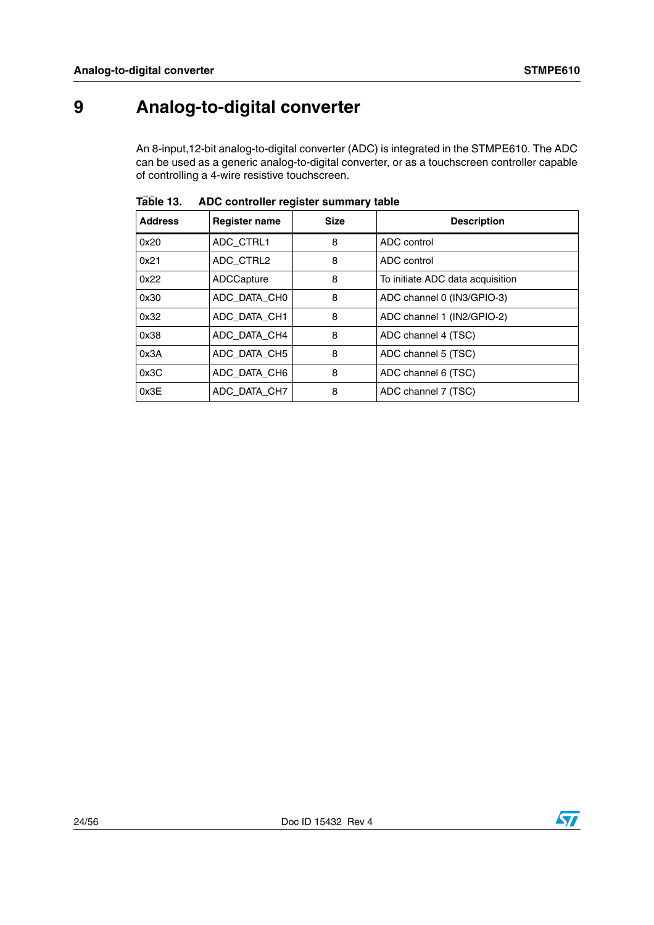# <span id="page-23-0"></span>**9 Analog-to-digital converter**

An 8-input,12-bit analog-to-digital converter (ADC) is integrated in the STMPE610. The ADC can be used as a generic analog-to-digital converter, or as a touchscreen controller capable of controlling a 4-wire resistive touchscreen.

| <b>Address</b> | <b>Size</b><br><b>Register name</b> |   | <b>Description</b>               |
|----------------|-------------------------------------|---|----------------------------------|
| 0x20           | ADC CTRL1                           | 8 | ADC control                      |
| 0x21           | ADC CTRL2                           | 8 | ADC control                      |
| 0x22           | ADCCapture                          | 8 | To initiate ADC data acquisition |
| 0x30           | ADC_DATA_CH0                        | 8 | ADC channel 0 (IN3/GPIO-3)       |
| 0x32           | ADC_DATA_CH1                        | 8 | ADC channel 1 (IN2/GPIO-2)       |
| 0x38           | ADC_DATA_CH4                        | 8 | ADC channel 4 (TSC)              |
| 0x3A           | ADC_DATA_CH5                        | 8 | ADC channel 5 (TSC)              |
| 0x3C           | ADC DATA CH6                        | 8 | ADC channel 6 (TSC)              |
| 0x3E           | ADC DATA CH7                        | 8 | ADC channel 7 (TSC)              |

Table 13. **Table 13. ADC controller register summary table**

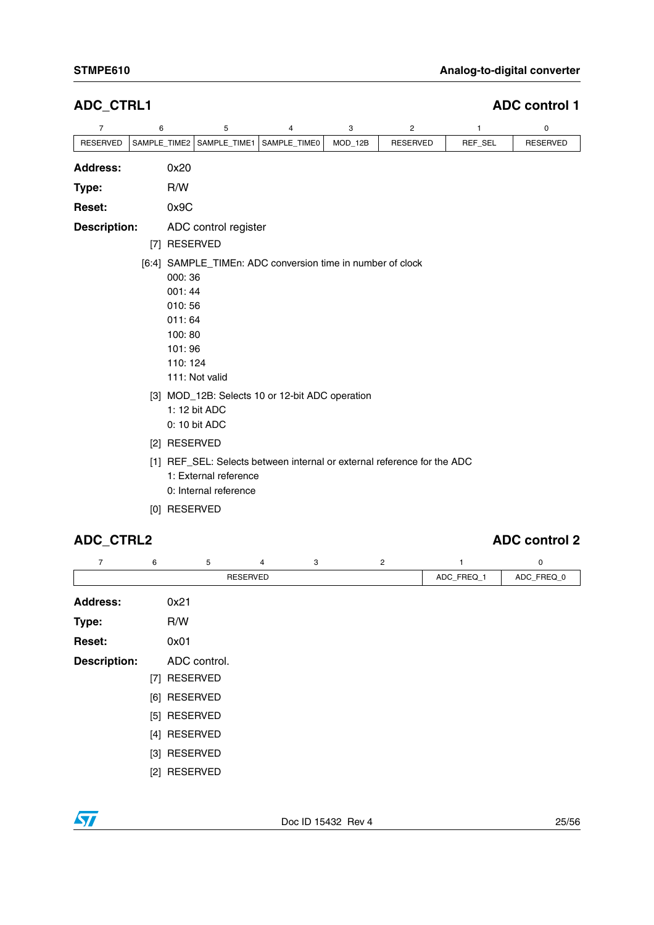| $\overline{7}$      | 6                                                                   | 5                                                                                                                                                | 4            | 3       | 2                                                                       | 1       | 0               |  |  |  |  |  |  |
|---------------------|---------------------------------------------------------------------|--------------------------------------------------------------------------------------------------------------------------------------------------|--------------|---------|-------------------------------------------------------------------------|---------|-----------------|--|--|--|--|--|--|
| <b>RESERVED</b>     |                                                                     | SAMPLE_TIME2   SAMPLE_TIME1                                                                                                                      | SAMPLE_TIME0 | MOD_12B | <b>RESERVED</b>                                                         | REF_SEL | <b>RESERVED</b> |  |  |  |  |  |  |
| <b>Address:</b>     | 0x20                                                                |                                                                                                                                                  |              |         |                                                                         |         |                 |  |  |  |  |  |  |
| Type:               | R/W                                                                 |                                                                                                                                                  |              |         |                                                                         |         |                 |  |  |  |  |  |  |
| <b>Reset:</b>       | 0x9C                                                                |                                                                                                                                                  |              |         |                                                                         |         |                 |  |  |  |  |  |  |
| <b>Description:</b> | [7] RESERVED                                                        | ADC control register                                                                                                                             |              |         |                                                                         |         |                 |  |  |  |  |  |  |
|                     | 000:36<br>001:44<br>010:56<br>011:64<br>100:80<br>101:96<br>110:124 | [6:4] SAMPLE_TIMEn: ADC conversion time in number of clock<br>111: Not valid<br>[3] MOD_12B: Selects 10 or 12-bit ADC operation<br>1: 12 bit ADC |              |         |                                                                         |         |                 |  |  |  |  |  |  |
|                     | [2] RESERVED                                                        | 0: 10 bit ADC                                                                                                                                    |              |         |                                                                         |         |                 |  |  |  |  |  |  |
|                     |                                                                     | 1: External reference<br>0: Internal reference                                                                                                   |              |         | [1] REF_SEL: Selects between internal or external reference for the ADC |         |                 |  |  |  |  |  |  |
|                     | [0] RESERVED                                                        |                                                                                                                                                  |              |         |                                                                         |         |                 |  |  |  |  |  |  |

**ADC\_CTRL1 ADC control 1**

## **ADC\_CTRL2 ADC control 2**

| 7                   | 6 | 5            | $\overline{4}$  | 3 | 2 |            | 0          |
|---------------------|---|--------------|-----------------|---|---|------------|------------|
|                     |   |              | <b>RESERVED</b> |   |   | ADC_FREQ_1 | ADC_FREQ_0 |
| <b>Address:</b>     |   | 0x21         |                 |   |   |            |            |
| Type:               |   | R/W          |                 |   |   |            |            |
| Reset:              |   | 0x01         |                 |   |   |            |            |
| <b>Description:</b> |   | ADC control. |                 |   |   |            |            |
|                     |   | [7] RESERVED |                 |   |   |            |            |
|                     |   | [6] RESERVED |                 |   |   |            |            |
|                     |   | [5] RESERVED |                 |   |   |            |            |
|                     |   | [4] RESERVED |                 |   |   |            |            |
|                     |   | [3] RESERVED |                 |   |   |            |            |
|                     |   | [2] RESERVED |                 |   |   |            |            |

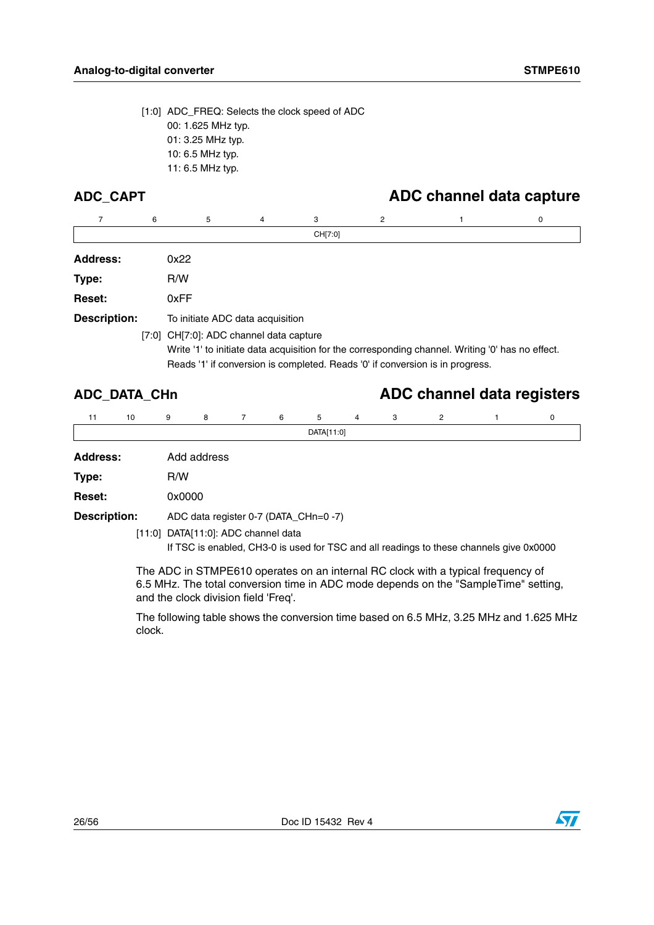[1:0] ADC\_FREQ: Selects the clock speed of ADC 00: 1.625 MHz typ. 01: 3.25 MHz typ. 10: 6.5 MHz typ. 11: 6.5 MHz typ.

## **ADC\_CAPT ADC channel data capture**

|                     | 6 | 5                                       | 4 | 3       | 2 |                                                                                                  | 0 |
|---------------------|---|-----------------------------------------|---|---------|---|--------------------------------------------------------------------------------------------------|---|
|                     |   |                                         |   | CH[7:0] |   |                                                                                                  |   |
| <b>Address:</b>     |   | 0x22                                    |   |         |   |                                                                                                  |   |
| Type:               |   | R/W                                     |   |         |   |                                                                                                  |   |
| <b>Reset:</b>       |   | 0xFF                                    |   |         |   |                                                                                                  |   |
| <b>Description:</b> |   | To initiate ADC data acquisition        |   |         |   |                                                                                                  |   |
|                     |   | [7:0] CH[7:0]: ADC channel data capture |   |         |   |                                                                                                  |   |
|                     |   |                                         |   |         |   | Write '1' to initiate data acquisition for the corresponding channel. Writing '0' has no effect. |   |
|                     |   |                                         |   |         |   | Reads '1' if conversion is completed. Reads '0' if conversion is in progress.                    |   |

## **ADC\_DATA\_CHn ADC channel data registers**

| 11                  | 10 | 9 | 8           | $7^{\circ}$ | 6                                                                                                                                                                                                                                                                                                                                                                                                                       | 5                                     | $\overline{4}$ | 3 | $\overline{2}$ |  | 0 |  |
|---------------------|----|---|-------------|-------------|-------------------------------------------------------------------------------------------------------------------------------------------------------------------------------------------------------------------------------------------------------------------------------------------------------------------------------------------------------------------------------------------------------------------------|---------------------------------------|----------------|---|----------------|--|---|--|
|                     |    |   |             |             |                                                                                                                                                                                                                                                                                                                                                                                                                         | DATA[11:0]                            |                |   |                |  |   |  |
| <b>Address:</b>     |    |   | Add address |             |                                                                                                                                                                                                                                                                                                                                                                                                                         |                                       |                |   |                |  |   |  |
| Type:               |    |   | R/W         |             |                                                                                                                                                                                                                                                                                                                                                                                                                         |                                       |                |   |                |  |   |  |
| Reset:              |    |   | 0x0000      |             |                                                                                                                                                                                                                                                                                                                                                                                                                         |                                       |                |   |                |  |   |  |
| <b>Description:</b> |    |   |             |             |                                                                                                                                                                                                                                                                                                                                                                                                                         | ADC data register 0-7 (DATA_CHn=0 -7) |                |   |                |  |   |  |
|                     |    |   |             |             | $[11.0]$ $\overline{D}$ $\overline{AT}$ $\overline{I}$ $\overline{I}$ $\overline{I}$ $\overline{I}$ $\overline{I}$ $\overline{I}$ $\overline{I}$ $\overline{I}$ $\overline{I}$ $\overline{I}$ $\overline{I}$ $\overline{I}$ $\overline{I}$ $\overline{I}$ $\overline{I}$ $\overline{I}$ $\overline{I}$ $\overline{I}$ $\overline{I}$ $\overline{I}$ $\overline{I}$ $\overline{I}$ $\overline{I}$ $\overline{I}$ $\over$ |                                       |                |   |                |  |   |  |

[11:0] DATA[11:0]: ADC channel data

If TSC is enabled, CH3-0 is used for TSC and all readings to these channels give 0x0000

The ADC in STMPE610 operates on an internal RC clock with a typical frequency of 6.5 MHz. The total conversion time in ADC mode depends on the "SampleTime" setting, and the clock division field 'Freq'.

The following table shows the conversion time based on 6.5 MHz, 3.25 MHz and 1.625 MHz clock.

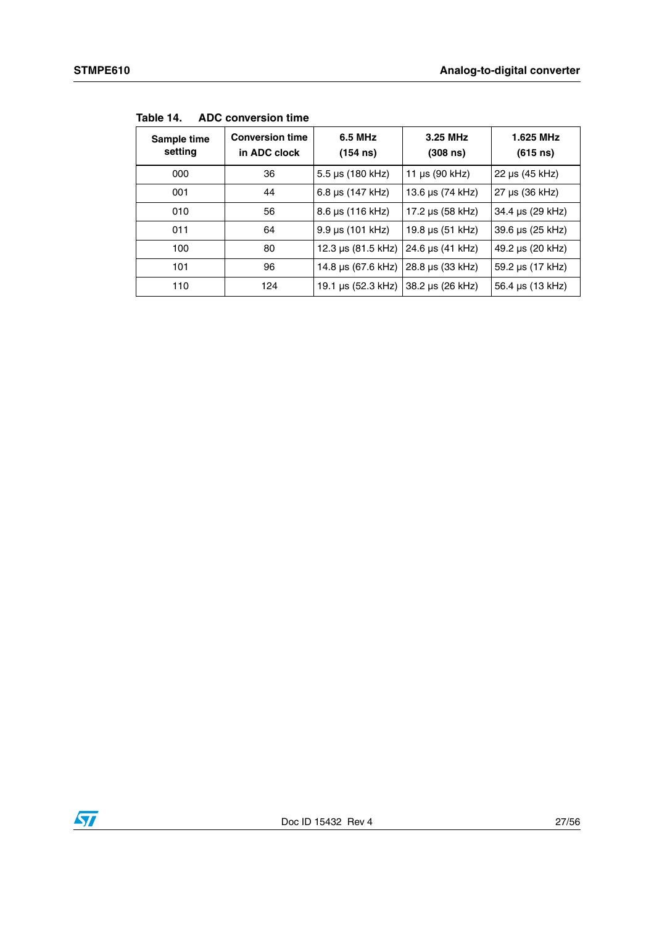| Sample time<br>setting | <b>Conversion time</b><br>in ADC clock | 6.5 MHz<br>(154 n s)    | 3.25 MHz<br>(308 n s) | 1.625 MHz<br>(615 n s) |
|------------------------|----------------------------------------|-------------------------|-----------------------|------------------------|
| 000                    | 36                                     | $5.5 \,\mu s$ (180 kHz) | 11 $\mu s$ (90 kHz)   | $22 \mu s (45 kHz)$    |
| 001                    | 44                                     | 6.8 us (147 kHz)        | 13.6 µs (74 kHz)      | $27 \mu s (36 kHz)$    |
| 010                    | 56                                     | 8.6 µs (116 kHz)        | 17.2 µs (58 kHz)      | 34.4 µs (29 kHz)       |
| 011                    | 64                                     | $9.9 \,\mu s$ (101 kHz) | 19.8 µs (51 kHz)      | 39.6 µs (25 kHz)       |
| 100                    | 80                                     | 12.3 µs (81.5 kHz)      | 24.6 µs (41 kHz)      | 49.2 µs (20 kHz)       |
| 101                    | 96                                     | 14.8 µs (67.6 kHz)      | 28.8 µs (33 kHz)      | 59.2 µs (17 kHz)       |
| 110                    | 124                                    | 19.1 µs (52.3 kHz)      | 38.2 µs (26 kHz)      | 56.4 µs (13 kHz)       |

**Table 14. ADC conversion time**

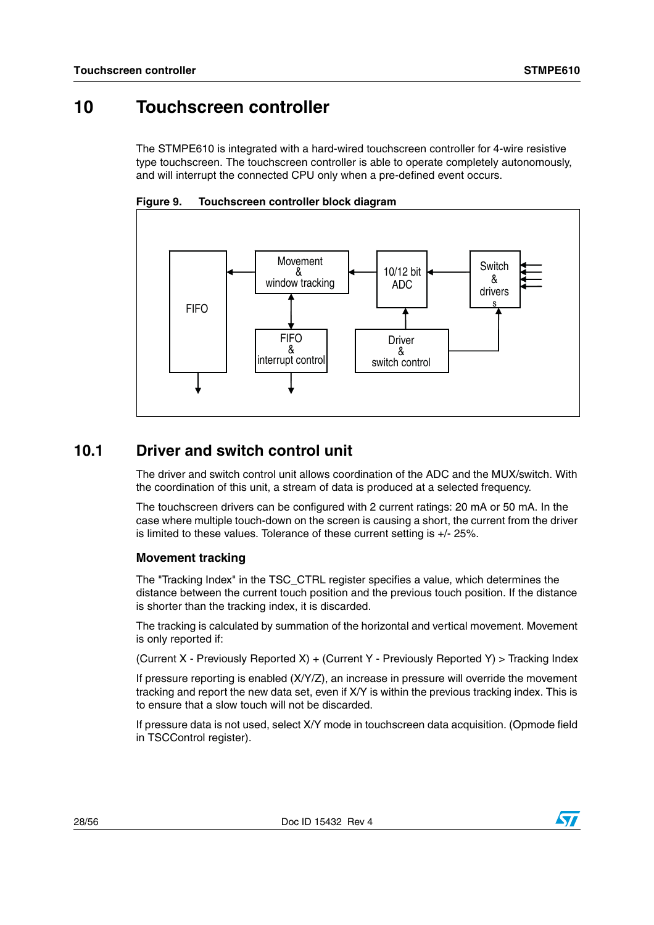## <span id="page-27-0"></span>**10 Touchscreen controller**

The STMPE610 is integrated with a hard-wired touchscreen controller for 4-wire resistive type touchscreen. The touchscreen controller is able to operate completely autonomously, and will interrupt the connected CPU only when a pre-defined event occurs.



**Figure 9. Touchscreen controller block diagram**

## <span id="page-27-1"></span>**10.1 Driver and switch control unit**

The driver and switch control unit allows coordination of the ADC and the MUX/switch. With the coordination of this unit, a stream of data is produced at a selected frequency.

The touchscreen drivers can be configured with 2 current ratings: 20 mA or 50 mA. In the case where multiple touch-down on the screen is causing a short, the current from the driver is limited to these values. Tolerance of these current setting is +/- 25%.

### **Movement tracking**

The "Tracking Index" in the TSC\_CTRL register specifies a value, which determines the distance between the current touch position and the previous touch position. If the distance is shorter than the tracking index, it is discarded.

The tracking is calculated by summation of the horizontal and vertical movement. Movement is only reported if:

(Current X - Previously Reported X) + (Current Y - Previously Reported Y) > Tracking Index

If pressure reporting is enabled (X/Y/Z), an increase in pressure will override the movement tracking and report the new data set, even if X/Y is within the previous tracking index. This is to ensure that a slow touch will not be discarded.

If pressure data is not used, select X/Y mode in touchscreen data acquisition. (Opmode field in TSCControl register).

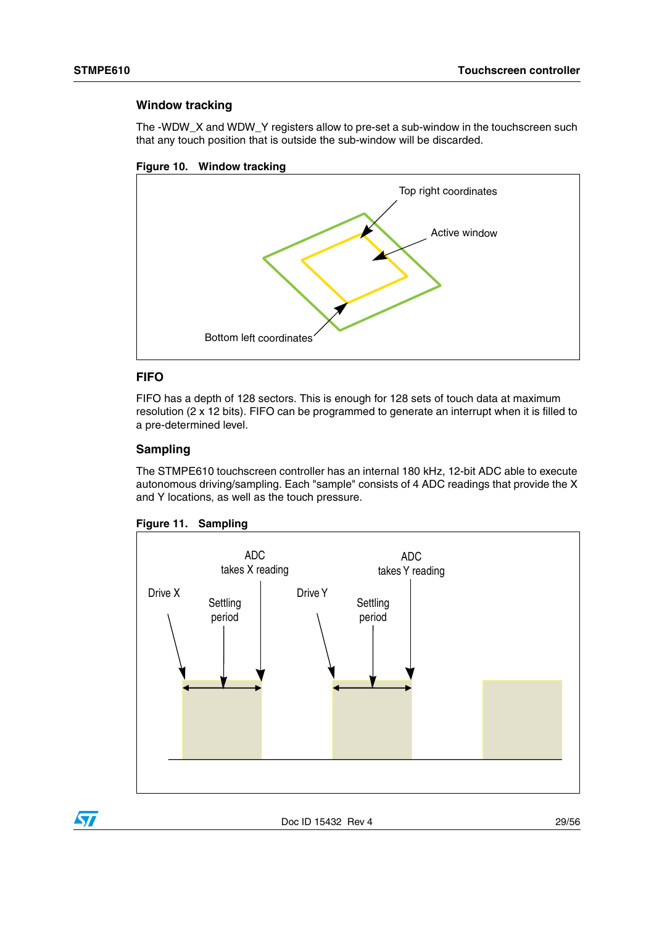### **Window tracking**

The -WDW\_X and WDW\_Y registers allow to pre-set a sub-window in the touchscreen such that any touch position that is outside the sub-window will be discarded.





### **FIFO**

FIFO has a depth of 128 sectors. This is enough for 128 sets of touch data at maximum resolution (2 x 12 bits). FIFO can be programmed to generate an interrupt when it is filled to a pre-determined level.

### **Sampling**

The STMPE610 touchscreen controller has an internal 180 kHz, 12-bit ADC able to execute autonomous driving/sampling. Each "sample" consists of 4 ADC readings that provide the X and Y locations, as well as the touch pressure.





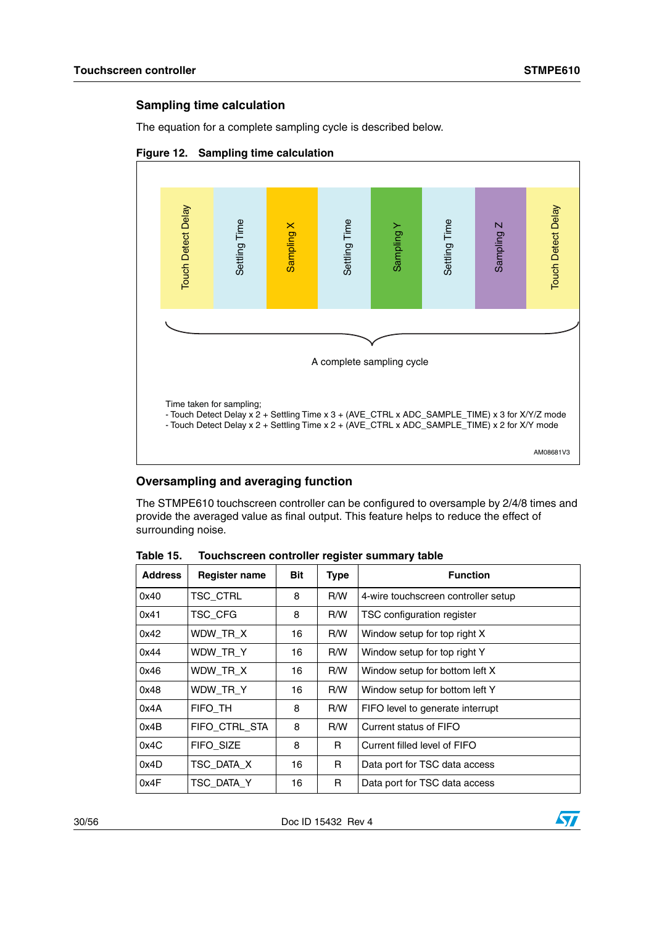### **Sampling time calculation**

The equation for a complete sampling cycle is described below.



### **Figure 12. Sampling time calculation**

### **Oversampling and averaging function**

The STMPE610 touchscreen controller can be configured to oversample by 2/4/8 times and provide the averaged value as final output. This feature helps to reduce the effect of surrounding noise.

| <b>Address</b> | <b>Register name</b> | <b>Bit</b> | Type | <b>Function</b>                     |
|----------------|----------------------|------------|------|-------------------------------------|
| 0x40           | TSC_CTRL             | 8          | R/W  | 4-wire touchscreen controller setup |
| 0x41           | TSC_CFG              | 8          | R/W  | TSC configuration register          |
| 0x42           | WDW TR X             | 16         | R/W  | Window setup for top right X        |
| 0x44           | WDW TR Y             | 16         | R/W  | Window setup for top right Y        |
| 0x46           | WDW TR X             | 16         | R/W  | Window setup for bottom left X      |
| 0x48           | WDW TR Y             | 16         | R/W  | Window setup for bottom left Y      |
| 0x4A           | FIFO TH              | 8          | R/W  | FIFO level to generate interrupt    |
| 0x4B           | FIFO CTRL STA        | 8          | R/W  | Current status of FIFO              |
| 0x4C           | <b>FIFO SIZE</b>     | 8          | R    | Current filled level of FIFO        |
| 0x4D           | TSC DATA X           | 16         | R    | Data port for TSC data access       |
| 0x4F           | TSC DATA Y           | 16         | R.   | Data port for TSC data access       |

Table 15. **Table 15. Touchscreen controller register summary table**

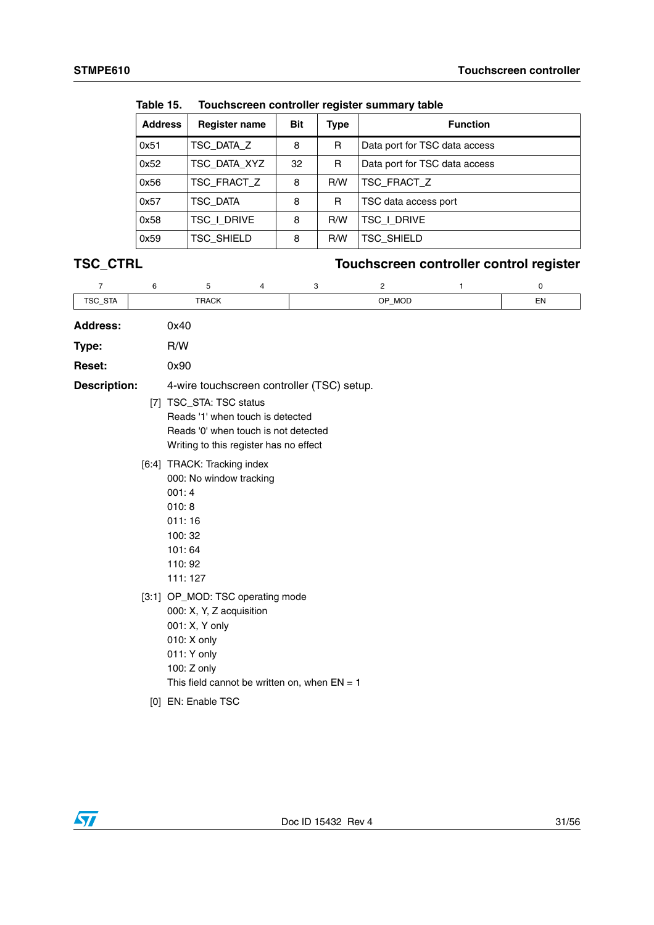| .              |                      |            |      |                               |  |  |  |  |  |
|----------------|----------------------|------------|------|-------------------------------|--|--|--|--|--|
| <b>Address</b> | <b>Register name</b> | <b>Bit</b> | Type | <b>Function</b>               |  |  |  |  |  |
| 0x51           | TSC_DATA_Z           | 8          | R    | Data port for TSC data access |  |  |  |  |  |
| 0x52           | TSC_DATA_XYZ         | 32         | R    | Data port for TSC data access |  |  |  |  |  |
| 0x56           | TSC FRACT Z          | 8          | R/W  | TSC FRACT Z                   |  |  |  |  |  |
| 0x57           | TSC DATA             | 8          | R    | TSC data access port          |  |  |  |  |  |
| 0x58           | TSC I DRIVE          | 8          | R/W  | tsc i drive                   |  |  |  |  |  |
| 0x59           | <b>TSC_SHIELD</b>    | 8          | R/W  | TSC SHIELD                    |  |  |  |  |  |

**Table 15. Touchscreen controller register summary table**

## **TSC\_CTRL Touchscreen controller control register**

| $\overline{7}$      | 6 | 5                                                                                                                                                                             | 4 | 3 | 2      | 1 | 0  |
|---------------------|---|-------------------------------------------------------------------------------------------------------------------------------------------------------------------------------|---|---|--------|---|----|
| TSC_STA             |   | <b>TRACK</b>                                                                                                                                                                  |   |   | OP_MOD |   | EN |
| <b>Address:</b>     |   | 0x40                                                                                                                                                                          |   |   |        |   |    |
| Type:               |   | R/W                                                                                                                                                                           |   |   |        |   |    |
| <b>Reset:</b>       |   | 0x90                                                                                                                                                                          |   |   |        |   |    |
| <b>Description:</b> |   | 4-wire touchscreen controller (TSC) setup.                                                                                                                                    |   |   |        |   |    |
|                     |   | [7] TSC_STA: TSC status<br>Reads '1' when touch is detected<br>Reads '0' when touch is not detected<br>Writing to this register has no effect                                 |   |   |        |   |    |
|                     |   | [6:4] TRACK: Tracking index<br>000: No window tracking<br>001:4<br>010:8<br>011:16<br>100:32<br>101:64<br>110:92<br>111:127                                                   |   |   |        |   |    |
|                     |   | [3:1] OP_MOD: TSC operating mode<br>000: X, Y, Z acquisition<br>001: X, Y only<br>010: X only<br>011: Y only<br>100: Z only<br>This field cannot be written on, when $EN = 1$ |   |   |        |   |    |
|                     |   | [0] EN: Enable TSC                                                                                                                                                            |   |   |        |   |    |

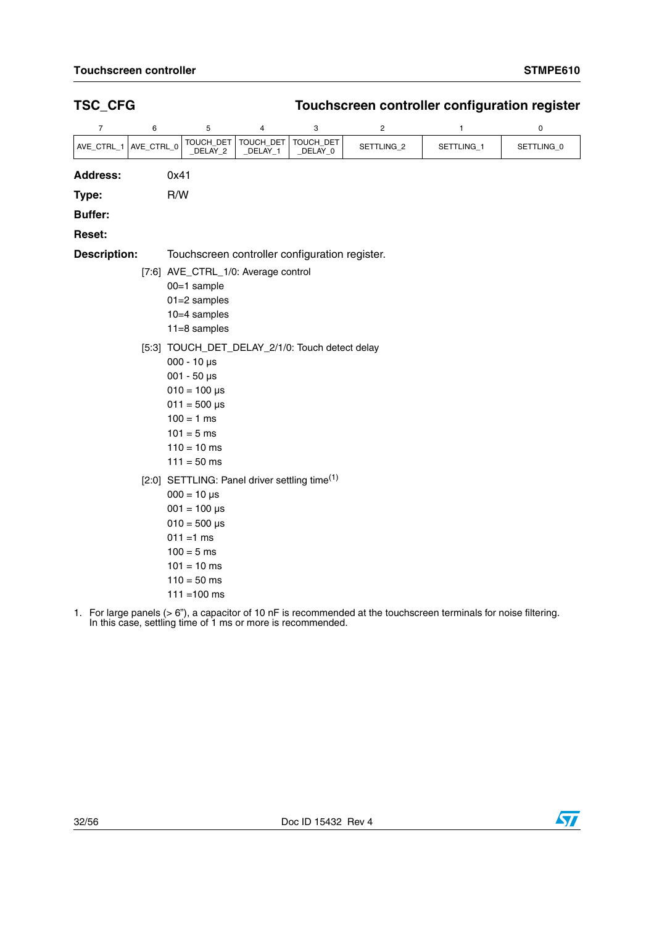### **TSC\_CFG Touchscreen controller configuration register Address:** 0x41 **Type:** R/W **Buffer: Reset: Description:** Touchscreen controller configuration register. 76543 2 1 0 AVE\_CTRL\_1 AVE\_CTRL\_0 TOUCH\_DET \_DELAY\_2 TOUCH\_DET \_DELAY\_1 TOUCH\_DET \_DELAY\_0 SETTLING\_2 SETTLING\_1 SETTLING\_0 [7:6] AVE\_CTRL\_1/0: Average control 00=1 sample 01=2 samples 10=4 samples 11=8 samples [5:3] TOUCH\_DET\_DELAY\_2/1/0: Touch detect delay 000 - 10 µs 001 - 50 µs  $010 = 100 \,\mu s$  $011 = 500$  us  $100 = 1$  ms  $101 = 5$  ms  $110 = 10$  ms  $111 = 50$  ms [2:0] SETTLING: Panel driver settling time<sup>(1)</sup>  $000 = 10 \text{ }\mu\text{s}$  $001 = 100 \,\mu s$  $010 = 500 \text{ }\mu\text{s}$  $011 = 1$  ms  $100 = 5$  ms  $101 = 10$  ms  $110 = 50$  ms  $111 = 100$  ms

1. For large panels (> 6"), a capacitor of 10 nF is recommended at the touchscreen terminals for noise filtering. In this case, settling time of 1 ms or more is recommended.



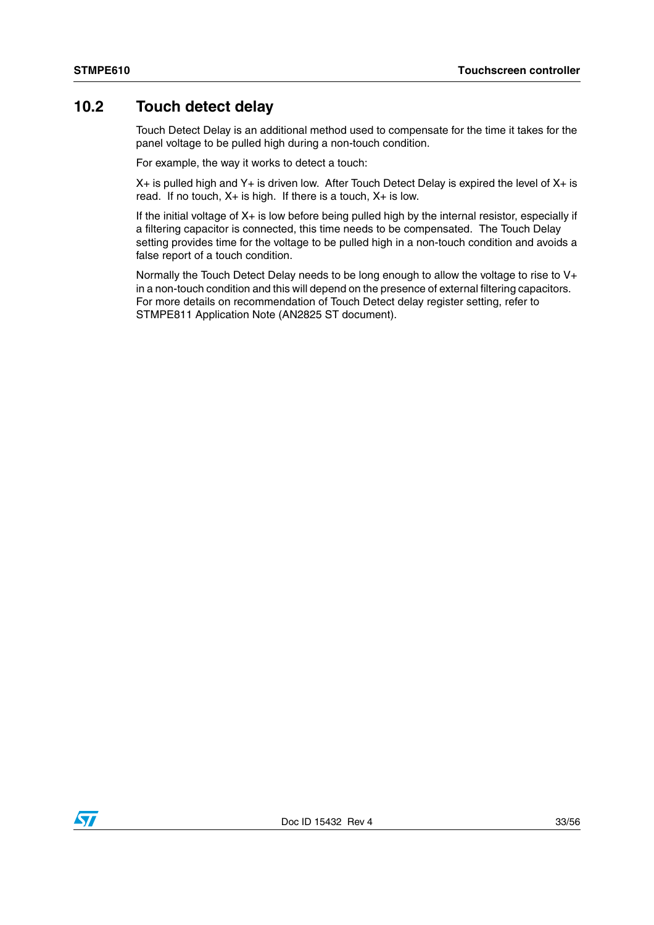## <span id="page-32-0"></span>**10.2 Touch detect delay**

Touch Detect Delay is an additional method used to compensate for the time it takes for the panel voltage to be pulled high during a non-touch condition.

For example, the way it works to detect a touch:

 $X+$  is pulled high and  $Y+$  is driven low. After Touch Detect Delay is expired the level of  $X+$  is read. If no touch,  $X+$  is high. If there is a touch,  $X+$  is low.

If the initial voltage of X+ is low before being pulled high by the internal resistor, especially if a filtering capacitor is connected, this time needs to be compensated. The Touch Delay setting provides time for the voltage to be pulled high in a non-touch condition and avoids a false report of a touch condition.

Normally the Touch Detect Delay needs to be long enough to allow the voltage to rise to V+ in a non-touch condition and this will depend on the presence of external filtering capacitors. For more details on recommendation of Touch Detect delay register setting, refer to STMPE811 Application Note (AN2825 ST document).

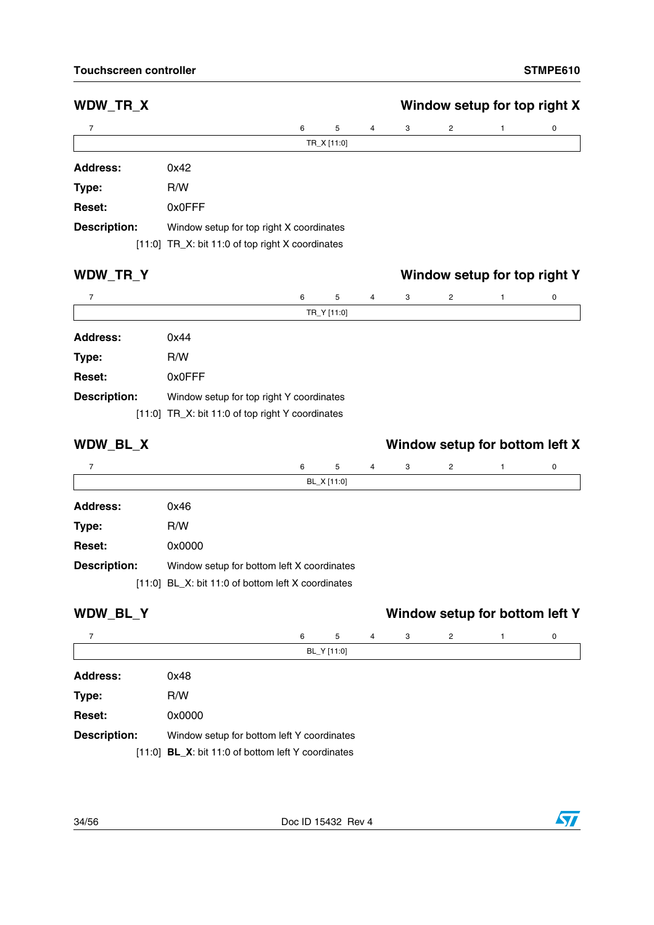## **WDW\_TR\_X Window setup for top right X Address:** 0x42 **Type:** R/W **Reset:** 0x0FFF **Description:** Window setup for top right X coordinates 7 6543 2 1 0 TR\_X [11:0] [11:0] TR\_X: bit 11:0 of top right X coordinates

### **WDW\_TR\_Y Window setup for top right Y**

| $\overline{7}$      |                                                  | 6 | 5           | $\overline{4}$ | 3 | $\overline{2}$ | 0 |
|---------------------|--------------------------------------------------|---|-------------|----------------|---|----------------|---|
|                     |                                                  |   | TR_Y [11:0] |                |   |                |   |
| <b>Address:</b>     | 0x44                                             |   |             |                |   |                |   |
| Type:               | R/W                                              |   |             |                |   |                |   |
| Reset:              | 0x0FFF                                           |   |             |                |   |                |   |
| <b>Description:</b> | Window setup for top right Y coordinates         |   |             |                |   |                |   |
|                     | [11:0] TR_X: bit 11:0 of top right Y coordinates |   |             |                |   |                |   |

## **WDW\_BL\_X Window setup for bottom left X**

| 7                   |                                                    | 6 | 5           | $\overline{4}$ | 3 | $\overline{2}$ | 0 |
|---------------------|----------------------------------------------------|---|-------------|----------------|---|----------------|---|
|                     |                                                    |   | BL_X [11:0] |                |   |                |   |
| Address:            | 0x46                                               |   |             |                |   |                |   |
| Type:               | R/W                                                |   |             |                |   |                |   |
| Reset:              | 0x0000                                             |   |             |                |   |                |   |
| <b>Description:</b> | Window setup for bottom left X coordinates         |   |             |                |   |                |   |
|                     | [11:0] BL_X: bit 11:0 of bottom left X coordinates |   |             |                |   |                |   |

| WDW_BL_Y            |                                                      |   |             |   |   |                | Window setup for bottom left Y |
|---------------------|------------------------------------------------------|---|-------------|---|---|----------------|--------------------------------|
| 7                   |                                                      | 6 | 5           | 4 | 3 | $\overline{2}$ | 0                              |
|                     |                                                      |   | BL_Y [11:0] |   |   |                |                                |
| <b>Address:</b>     | 0x48                                                 |   |             |   |   |                |                                |
| Type:               | R/W                                                  |   |             |   |   |                |                                |
| <b>Reset:</b>       | 0x0000                                               |   |             |   |   |                |                                |
| <b>Description:</b> | Window setup for bottom left Y coordinates           |   |             |   |   |                |                                |
|                     | $[11:0]$ BL_X: bit 11:0 of bottom left Y coordinates |   |             |   |   |                |                                |

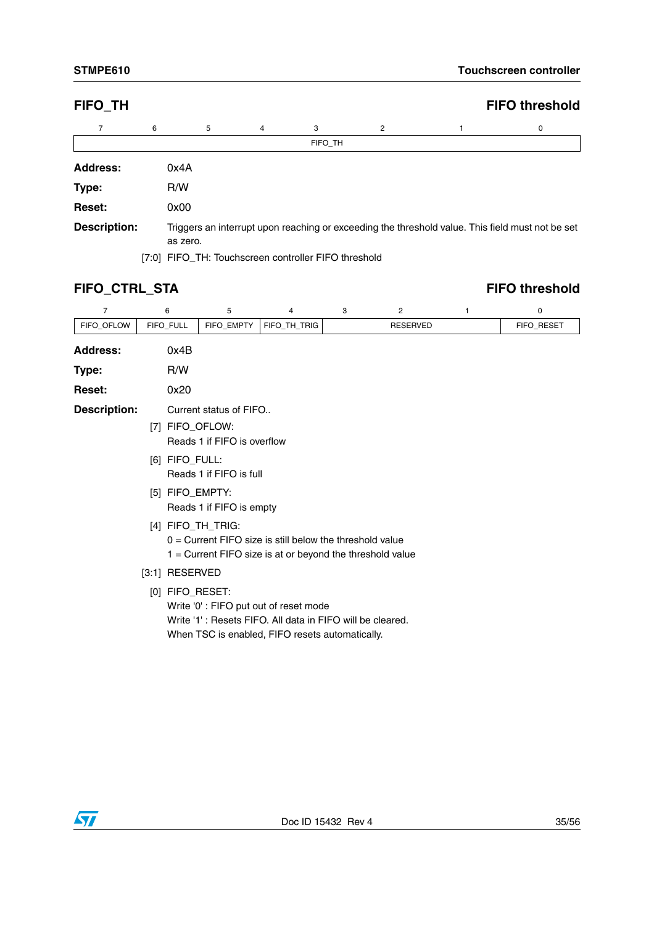| <b>FIFO TH</b>      |      |          |   |         |   | <b>FIFO threshold</b>                                                                            |
|---------------------|------|----------|---|---------|---|--------------------------------------------------------------------------------------------------|
| 7                   | 6    | 5        | 4 | 3       | 2 | 0                                                                                                |
|                     |      |          |   | FIFO TH |   |                                                                                                  |
| <b>Address:</b>     | 0x4A |          |   |         |   |                                                                                                  |
| Type:               | R/W  |          |   |         |   |                                                                                                  |
| Reset:              | 0x00 |          |   |         |   |                                                                                                  |
| <b>Description:</b> |      | as zero. |   |         |   | Triggers an interrupt upon reaching or exceeding the threshold value. This field must not be set |

[7:0] FIFO\_TH: Touchscreen controller FIFO threshold

## **FIFO\_CTRL\_STA FIFO threshold**

| $\overline{7}$      | 6                                                                                                                                            | 5                                                                                                                                                                        | 4            | 3 | 2               | 1 | 0          |  |  |
|---------------------|----------------------------------------------------------------------------------------------------------------------------------------------|--------------------------------------------------------------------------------------------------------------------------------------------------------------------------|--------------|---|-----------------|---|------------|--|--|
| FIFO_OFLOW          | FIFO_FULL                                                                                                                                    | FIFO_EMPTY                                                                                                                                                               | FIFO_TH_TRIG |   | <b>RESERVED</b> |   | FIFO_RESET |  |  |
| <b>Address:</b>     | 0x4B                                                                                                                                         |                                                                                                                                                                          |              |   |                 |   |            |  |  |
| Type:               | R/W                                                                                                                                          |                                                                                                                                                                          |              |   |                 |   |            |  |  |
| <b>Reset:</b>       | 0x20                                                                                                                                         |                                                                                                                                                                          |              |   |                 |   |            |  |  |
| <b>Description:</b> |                                                                                                                                              | Current status of FIFO                                                                                                                                                   |              |   |                 |   |            |  |  |
|                     | [7]                                                                                                                                          | FIFO_OFLOW:<br>Reads 1 if FIFO is overflow                                                                                                                               |              |   |                 |   |            |  |  |
|                     | [6] FIFO_FULL:<br>Reads 1 if FIFO is full                                                                                                    |                                                                                                                                                                          |              |   |                 |   |            |  |  |
|                     |                                                                                                                                              | [5] FIFO_EMPTY:<br>Reads 1 if FIFO is empty                                                                                                                              |              |   |                 |   |            |  |  |
|                     | [4] FIFO_TH_TRIG:<br>$0 =$ Current FIFO size is still below the threshold value<br>1 = Current FIFO size is at or beyond the threshold value |                                                                                                                                                                          |              |   |                 |   |            |  |  |
|                     | [3:1] RESERVED                                                                                                                               |                                                                                                                                                                          |              |   |                 |   |            |  |  |
|                     |                                                                                                                                              | [0] FIFO_RESET:<br>Write '0': FIFO put out of reset mode<br>Write '1': Resets FIFO. All data in FIFO will be cleared.<br>When TSC is enabled, FIFO resets automatically. |              |   |                 |   |            |  |  |

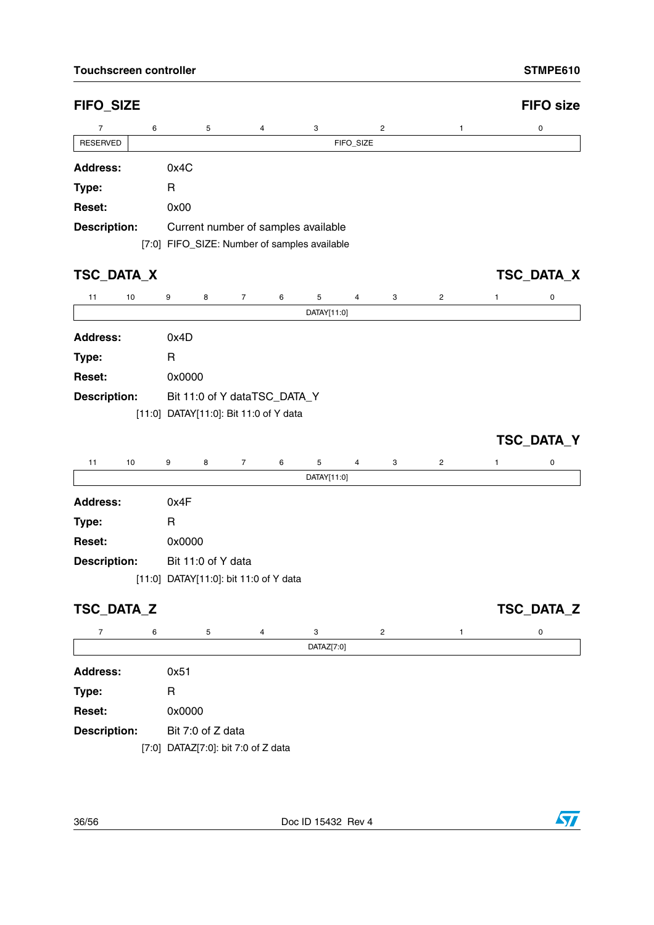| <b>FIFO_SIZE</b>     |                                              |                     |                  |           |                |                |   | <b>FIFO size</b> |
|----------------------|----------------------------------------------|---------------------|------------------|-----------|----------------|----------------|---|------------------|
| $\overline{7}$       |                                              |                     | 3                |           | $\overline{c}$ |                |   |                  |
| 6<br><b>RESERVED</b> | 5                                            | 4                   |                  | FIFO_SIZE |                | 1              |   | 0                |
| <b>Address:</b>      | 0x4C                                         |                     |                  |           |                |                |   |                  |
| Type:                | R                                            |                     |                  |           |                |                |   |                  |
| Reset:               | 0x00                                         |                     |                  |           |                |                |   |                  |
| Description:         | Current number of samples available          |                     |                  |           |                |                |   |                  |
|                      | [7:0] FIFO_SIZE: Number of samples available |                     |                  |           |                |                |   |                  |
|                      |                                              |                     |                  |           |                |                |   |                  |
| TSC_DATA_X           |                                              |                     |                  |           |                |                |   | TSC_DATA_X       |
| 11<br>10             | 9<br>8                                       | 6<br>$\overline{7}$ | 5                | 4         | 3              | 2              | 1 | 0                |
|                      |                                              |                     | DATAY[11:0]      |           |                |                |   |                  |
| <b>Address:</b>      | 0x4D                                         |                     |                  |           |                |                |   |                  |
| Type:                | R                                            |                     |                  |           |                |                |   |                  |
| Reset:               | 0x0000                                       |                     |                  |           |                |                |   |                  |
| <b>Description:</b>  | Bit 11:0 of Y dataTSC_DATA_Y                 |                     |                  |           |                |                |   |                  |
|                      | [11:0] DATAY[11:0]: Bit 11:0 of Y data       |                     |                  |           |                |                |   |                  |
|                      |                                              |                     |                  |           |                |                |   | TSC_DATA_Y       |
|                      |                                              |                     |                  |           |                |                |   |                  |
| 11<br>10             | 9<br>8                                       | 6<br>7              | 5<br>DATAY[11:0] | 4         | 3              | $\overline{c}$ | 1 | 0                |
| <b>Address:</b>      |                                              |                     |                  |           |                |                |   |                  |
|                      | 0x4F<br>R                                    |                     |                  |           |                |                |   |                  |
| Type:<br>Reset:      | 0x0000                                       |                     |                  |           |                |                |   |                  |
|                      | Bit 11:0 of Y data                           |                     |                  |           |                |                |   |                  |
| Description:         | [11:0] DATAY[11:0]: bit 11:0 of Y data       |                     |                  |           |                |                |   |                  |
|                      |                                              |                     |                  |           |                |                |   |                  |
| <b>TSC_DATA_Z</b>    |                                              |                     |                  |           |                |                |   | TSC_DATA_Z       |
| 7<br>6               | 5                                            | 4                   | 3                |           | $\overline{c}$ | 1              |   | 0                |
|                      |                                              |                     | DATAZ[7:0]       |           |                |                |   |                  |
| <b>Address:</b>      | 0x51                                         |                     |                  |           |                |                |   |                  |
| Type:                | R                                            |                     |                  |           |                |                |   |                  |
| Reset:               | 0x0000                                       |                     |                  |           |                |                |   |                  |
| <b>Description:</b>  | Bit 7:0 of Z data                            |                     |                  |           |                |                |   |                  |
|                      | [7:0] DATAZ[7:0]: bit 7:0 of Z data          |                     |                  |           |                |                |   |                  |

36/56 Doc ID 15432 Rev 4

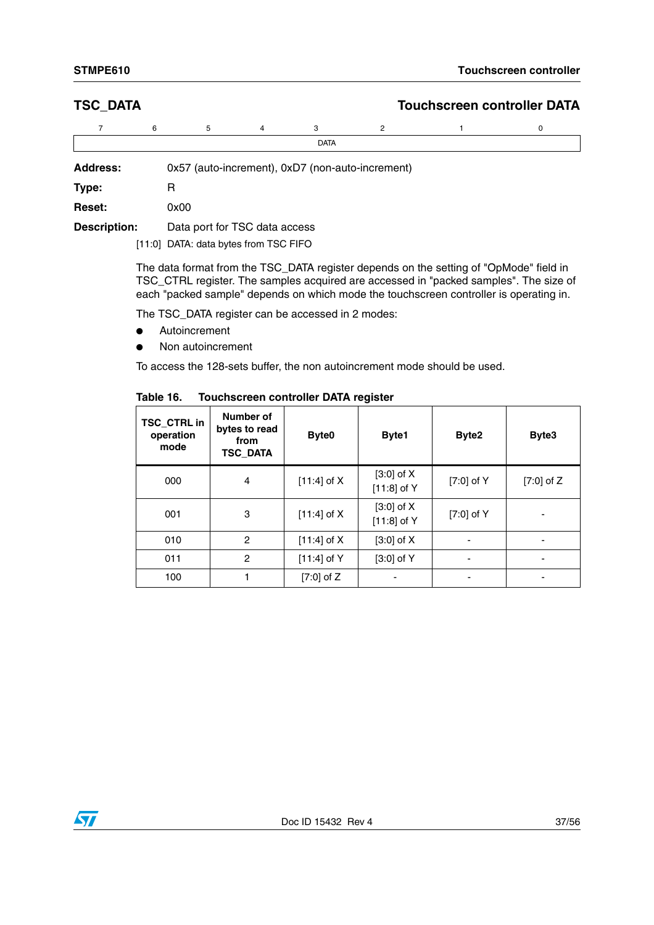### **TSC\_DATA Touchscreen controller DATA**

|                                                                     | 6    | 5 | 4 | 3           | 2 |  |  |  |  |  |
|---------------------------------------------------------------------|------|---|---|-------------|---|--|--|--|--|--|
|                                                                     |      |   |   | <b>DATA</b> |   |  |  |  |  |  |
| 0x57 (auto-increment), 0xD7 (non-auto-increment)<br><b>Address:</b> |      |   |   |             |   |  |  |  |  |  |
| Type:                                                               |      |   |   |             |   |  |  |  |  |  |
| <b>Reset:</b>                                                       | 0x00 |   |   |             |   |  |  |  |  |  |

**Description:** Data port for TSC data access

[11:0] DATA: data bytes from TSC FIFO

The data format from the TSC\_DATA register depends on the setting of "OpMode" field in TSC\_CTRL register. The samples acquired are accessed in "packed samples". The size of each "packed sample" depends on which mode the touchscreen controller is operating in.

The TSC\_DATA register can be accessed in 2 modes:

- Autoincrement
- Non autoincrement

To access the 128-sets buffer, the non autoincrement mode should be used.

| TSC_CTRL in<br>operation<br>mode | Number of<br>bytes to read<br>from<br><b>TSC_DATA</b> | Byte0         | Byte1                           | Byte2        | Byte3                    |
|----------------------------------|-------------------------------------------------------|---------------|---------------------------------|--------------|--------------------------|
| 000                              | $\overline{4}$                                        | $[11:4]$ of X | $[3:0]$ of $X$<br>$[11:8]$ of Y | $[7:0]$ of Y | $[7:0]$ of Z             |
| 001                              | 3                                                     | $[11:4]$ of X | $[3:0]$ of X<br>$[11:8]$ of Y   | $[7:0]$ of Y | $\overline{\phantom{a}}$ |
| 010                              | $\overline{c}$                                        | $[11:4]$ of X | $[3:0]$ of X                    |              | ۰                        |
| 011                              | $\overline{c}$                                        | $[11:4]$ of Y | $[3:0]$ of Y                    |              | -                        |
| 100                              |                                                       | $[7:0]$ of Z  |                                 |              | ٠                        |

### **Table 16. Touchscreen controller DATA register**

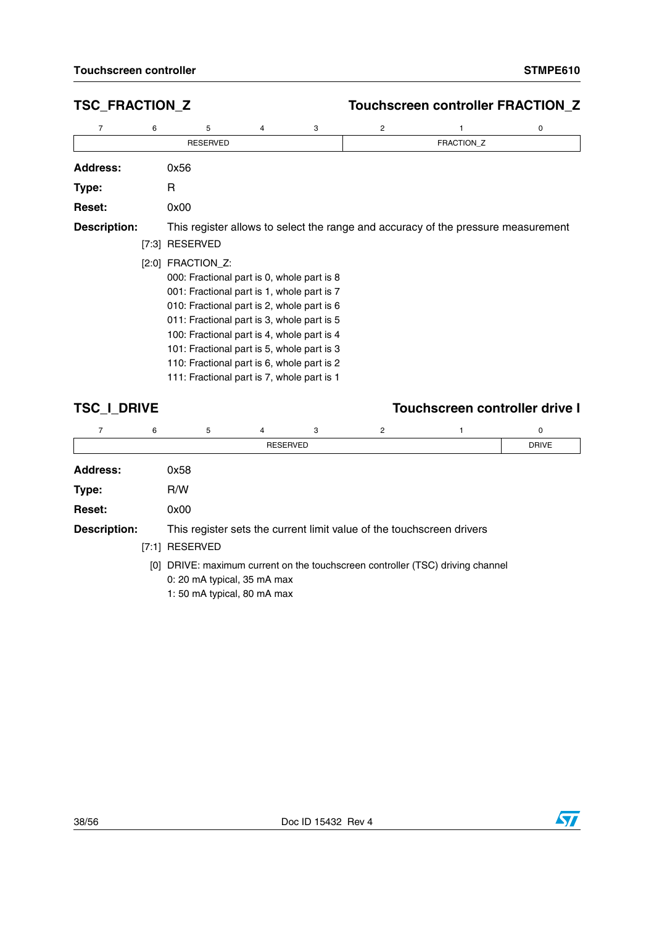## **TSC\_FRACTION\_Z Touchscreen controller FRACTION\_Z**

| 7                   | 6     | 5                                                                                                                                                                                                                                                                                                                                                                                                                      | 4 | 3 | 2 |                                                                                   | 0 |
|---------------------|-------|------------------------------------------------------------------------------------------------------------------------------------------------------------------------------------------------------------------------------------------------------------------------------------------------------------------------------------------------------------------------------------------------------------------------|---|---|---|-----------------------------------------------------------------------------------|---|
|                     |       | <b>RESERVED</b>                                                                                                                                                                                                                                                                                                                                                                                                        |   |   |   | FRACTION_Z                                                                        |   |
| <b>Address:</b>     |       | 0x56                                                                                                                                                                                                                                                                                                                                                                                                                   |   |   |   |                                                                                   |   |
| Type:               |       | R                                                                                                                                                                                                                                                                                                                                                                                                                      |   |   |   |                                                                                   |   |
| <b>Reset:</b>       |       | 0x00                                                                                                                                                                                                                                                                                                                                                                                                                   |   |   |   |                                                                                   |   |
| <b>Description:</b> | [7:3] | <b>RESERVED</b><br>$[2:0]$ FRACTION_Z:<br>000: Fractional part is 0, whole part is 8<br>001: Fractional part is 1, whole part is 7<br>010: Fractional part is 2, whole part is 6<br>011: Fractional part is 3, whole part is 5<br>100: Fractional part is 4, whole part is 4<br>101: Fractional part is 5, whole part is 3<br>110: Fractional part is 6, whole part is 2<br>111: Fractional part is 7, whole part is 1 |   |   |   | This register allows to select the range and accuracy of the pressure measurement |   |

## **TSC\_I\_DRIVE Touchscreen controller drive I**

|                     | 6    | 5                           | 4               | 3 | 2                                                                     |                                                                                | 0 |  |  |  |  |  |
|---------------------|------|-----------------------------|-----------------|---|-----------------------------------------------------------------------|--------------------------------------------------------------------------------|---|--|--|--|--|--|
|                     |      |                             | <b>RESERVED</b> |   |                                                                       |                                                                                |   |  |  |  |  |  |
| <b>Address:</b>     |      | 0x58                        |                 |   |                                                                       |                                                                                |   |  |  |  |  |  |
| Type:               |      | R/W                         |                 |   |                                                                       |                                                                                |   |  |  |  |  |  |
| <b>Reset:</b>       | 0x00 |                             |                 |   |                                                                       |                                                                                |   |  |  |  |  |  |
| <b>Description:</b> |      |                             |                 |   | This register sets the current limit value of the touchscreen drivers |                                                                                |   |  |  |  |  |  |
|                     |      | [7:1] RESERVED              |                 |   |                                                                       |                                                                                |   |  |  |  |  |  |
|                     |      |                             |                 |   |                                                                       | [0] DRIVE: maximum current on the touchscreen controller (TSC) driving channel |   |  |  |  |  |  |
|                     |      | 0: 20 mA typical, 35 mA max |                 |   |                                                                       |                                                                                |   |  |  |  |  |  |
|                     |      | 1:50 mA typical, 80 mA max  |                 |   |                                                                       |                                                                                |   |  |  |  |  |  |

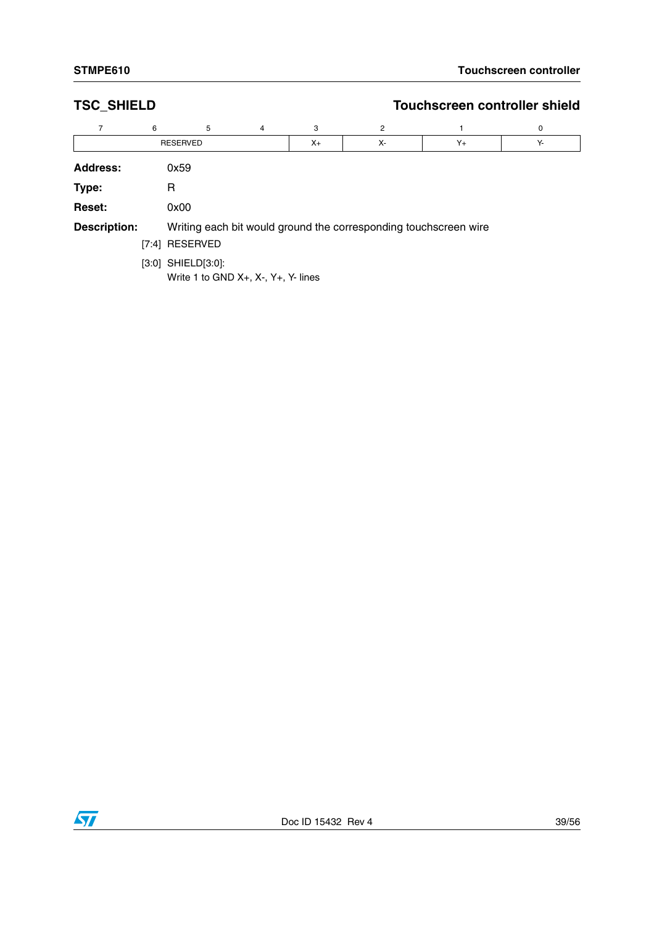| <b>TSC_SHIELD</b>   |   |                                                                                        |                |         | Touchscreen controller shield                                    |         |    |  |  |  |  |
|---------------------|---|----------------------------------------------------------------------------------------|----------------|---------|------------------------------------------------------------------|---------|----|--|--|--|--|
| 7                   | 6 | 5                                                                                      | $\overline{4}$ | 3       | 2                                                                |         | 0  |  |  |  |  |
|                     |   | <b>RESERVED</b>                                                                        |                | $X_{+}$ | Х-                                                               | $Y_{+}$ | Υ- |  |  |  |  |
| <b>Address:</b>     |   | 0x59                                                                                   |                |         |                                                                  |         |    |  |  |  |  |
| Type:               |   | R                                                                                      |                |         |                                                                  |         |    |  |  |  |  |
| <b>Reset:</b>       |   | 0x00                                                                                   |                |         |                                                                  |         |    |  |  |  |  |
| <b>Description:</b> |   |                                                                                        |                |         | Writing each bit would ground the corresponding touchscreen wire |         |    |  |  |  |  |
|                     |   | [7:4] RESERVED                                                                         |                |         |                                                                  |         |    |  |  |  |  |
|                     |   | $[3:0]$ SHIELD $[3:0]$ :<br>Write 1 to GND $X_{+}$ , $X_{-}$ , $Y_{+}$ , $Y_{-}$ lines |                |         |                                                                  |         |    |  |  |  |  |

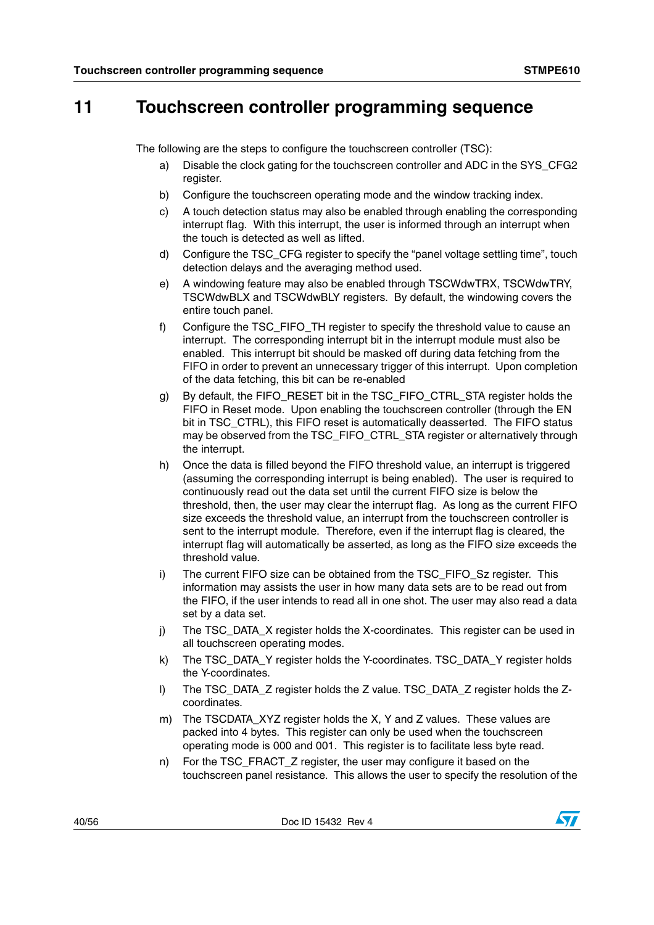## <span id="page-39-0"></span>**11 Touchscreen controller programming sequence**

The following are the steps to configure the touchscreen controller (TSC):

- a) Disable the clock gating for the touchscreen controller and ADC in the SYS\_CFG2 register.
- b) Configure the touchscreen operating mode and the window tracking index.
- c) A touch detection status may also be enabled through enabling the corresponding interrupt flag. With this interrupt, the user is informed through an interrupt when the touch is detected as well as lifted.
- d) Configure the TSC\_CFG register to specify the "panel voltage settling time", touch detection delays and the averaging method used.
- e) A windowing feature may also be enabled through TSCWdwTRX, TSCWdwTRY, TSCWdwBLX and TSCWdwBLY registers. By default, the windowing covers the entire touch panel.
- f) Configure the TSC\_FIFO\_TH register to specify the threshold value to cause an interrupt. The corresponding interrupt bit in the interrupt module must also be enabled. This interrupt bit should be masked off during data fetching from the FIFO in order to prevent an unnecessary trigger of this interrupt. Upon completion of the data fetching, this bit can be re-enabled
- g) By default, the FIFO\_RESET bit in the TSC\_FIFO\_CTRL\_STA register holds the FIFO in Reset mode. Upon enabling the touchscreen controller (through the EN bit in TSC\_CTRL), this FIFO reset is automatically deasserted. The FIFO status may be observed from the TSC\_FIFO\_CTRL\_STA register or alternatively through the interrupt.
- h) Once the data is filled beyond the FIFO threshold value, an interrupt is triggered (assuming the corresponding interrupt is being enabled). The user is required to continuously read out the data set until the current FIFO size is below the threshold, then, the user may clear the interrupt flag. As long as the current FIFO size exceeds the threshold value, an interrupt from the touchscreen controller is sent to the interrupt module. Therefore, even if the interrupt flag is cleared, the interrupt flag will automatically be asserted, as long as the FIFO size exceeds the threshold value.
- i) The current FIFO size can be obtained from the TSC\_FIFO\_Sz register. This information may assists the user in how many data sets are to be read out from the FIFO, if the user intends to read all in one shot. The user may also read a data set by a data set.
- j) The TSC\_DATA\_X register holds the X-coordinates. This register can be used in all touchscreen operating modes.
- k) The TSC\_DATA\_Y register holds the Y-coordinates. TSC\_DATA\_Y register holds the Y-coordinates.
- l) The TSC\_DATA\_Z register holds the Z value. TSC\_DATA\_Z register holds the Zcoordinates.
- m) The TSCDATA\_XYZ register holds the X, Y and Z values. These values are packed into 4 bytes. This register can only be used when the touchscreen operating mode is 000 and 001. This register is to facilitate less byte read.
- n) For the TSC\_FRACT\_Z register, the user may configure it based on the touchscreen panel resistance. This allows the user to specify the resolution of the

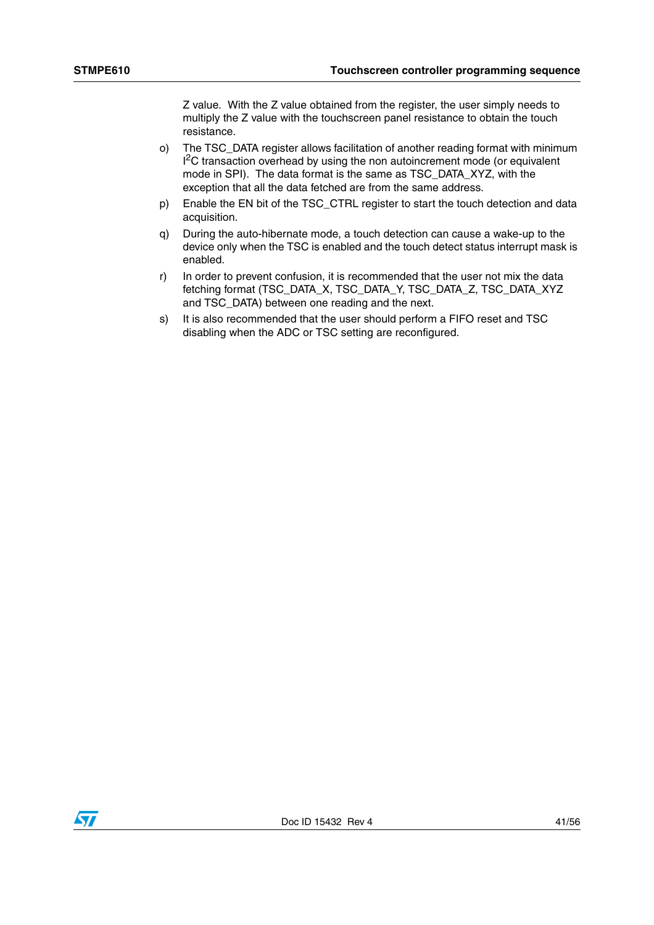Z value. With the Z value obtained from the register, the user simply needs to multiply the Z value with the touchscreen panel resistance to obtain the touch resistance.

- o) The TSC\_DATA register allows facilitation of another reading format with minimum <sup>2</sup>C transaction overhead by using the non autoincrement mode (or equivalent mode in SPI). The data format is the same as TSC\_DATA\_XYZ, with the exception that all the data fetched are from the same address.
- p) Enable the EN bit of the TSC\_CTRL register to start the touch detection and data acquisition.
- q) During the auto-hibernate mode, a touch detection can cause a wake-up to the device only when the TSC is enabled and the touch detect status interrupt mask is enabled.
- r) In order to prevent confusion, it is recommended that the user not mix the data fetching format (TSC\_DATA\_X, TSC\_DATA\_Y, TSC\_DATA\_Z, TSC\_DATA\_XYZ and TSC\_DATA) between one reading and the next.
- s) It is also recommended that the user should perform a FIFO reset and TSC disabling when the ADC or TSC setting are reconfigured.

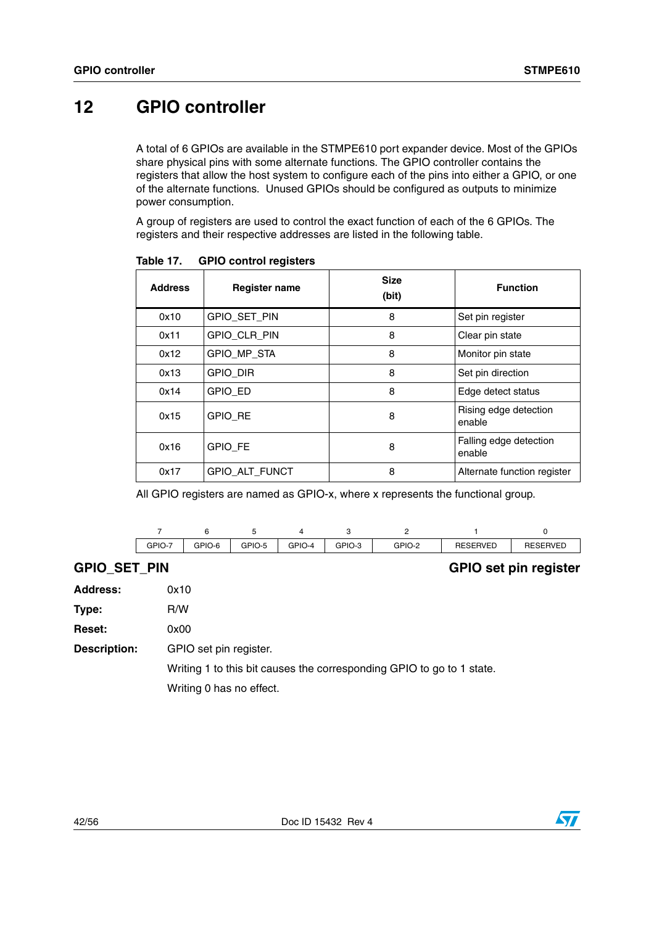# <span id="page-41-0"></span>**12 GPIO controller**

A total of 6 GPIOs are available in the STMPE610 port expander device. Most of the GPIOs share physical pins with some alternate functions. The GPIO controller contains the registers that allow the host system to configure each of the pins into either a GPIO, or one of the alternate functions. Unused GPIOs should be configured as outputs to minimize power consumption.

A group of registers are used to control the exact function of each of the 6 GPIOs. The registers and their respective addresses are listed in the following table.

| <b>Address</b> | <b>Register name</b>  | <b>Size</b><br>(bit) | <b>Function</b>                  |
|----------------|-----------------------|----------------------|----------------------------------|
| 0x10           | GPIO_SET_PIN          | 8                    | Set pin register                 |
| 0x11           | GPIO_CLR_PIN          | 8                    | Clear pin state                  |
| 0x12           | GPIO MP STA           | 8                    | Monitor pin state                |
| 0x13           | <b>GPIO_DIR</b>       | 8                    | Set pin direction                |
| 0x14           | <b>GPIO ED</b>        | 8                    | Edge detect status               |
| 0x15           | <b>GPIO RE</b>        | 8                    | Rising edge detection<br>enable  |
| 0x16           | GPIO_FE               | 8                    | Falling edge detection<br>enable |
| 0x17           | <b>GPIO ALT FUNCT</b> | 8                    | Alternate function register      |

Table 17. **Table 17. GPIO control registers**

All GPIO registers are named as GPIO-x, where x represents the functional group.

| GPIO-7 | GPIO-6 | GPIO-5 | GPIO-4 | GPIO-3 | GPIO-2 | <b>RESERVED</b> | <b>RESERVED</b> |
|--------|--------|--------|--------|--------|--------|-----------------|-----------------|

### **GPIO\_SET\_PIN GPIO set pin register**

| <b>Address:</b>     | 0x10                                                                  |
|---------------------|-----------------------------------------------------------------------|
| Type:               | R/W                                                                   |
| <b>Reset:</b>       | 0x00                                                                  |
| <b>Description:</b> | GPIO set pin register.                                                |
|                     | Writing 1 to this bit causes the corresponding GPIO to go to 1 state. |
|                     | Writing 0 has no effect.                                              |

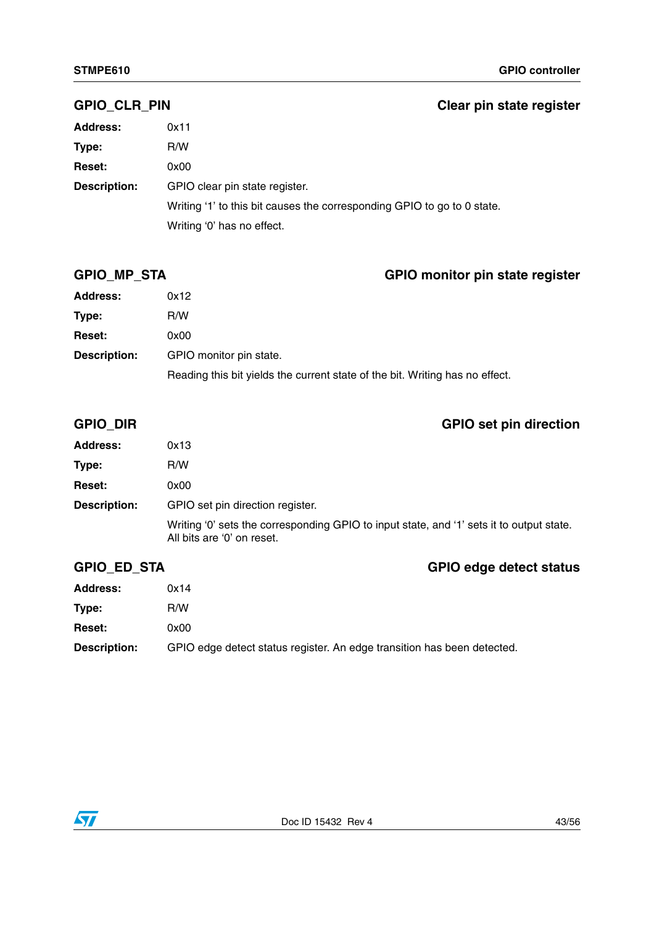### **GPIO\_CLR\_PIN Clear pin state register**

| <b>Address:</b>     | 0x11                                                                    |
|---------------------|-------------------------------------------------------------------------|
| Type:               | R/W                                                                     |
| <b>Reset:</b>       | 0x00                                                                    |
| <b>Description:</b> | GPIO clear pin state register.                                          |
|                     | Writing '1' to this bit causes the corresponding GPIO to go to 0 state. |
|                     | Writing '0' has no effect.                                              |

## **GPIO\_MP\_STA GPIO monitor pin state register**

| <b>Address:</b>     | 0x12                                                                         |
|---------------------|------------------------------------------------------------------------------|
| Type:               | R/W                                                                          |
| <b>Reset:</b>       | 0x00                                                                         |
| <b>Description:</b> | GPIO monitor pin state.                                                      |
|                     | Reading this bit yields the current state of the bit. Writing has no effect. |

## **GPIO\_DIR GPIO set pin direction**

| <b>Address:</b>     | 0x13                                                                                                                   |
|---------------------|------------------------------------------------------------------------------------------------------------------------|
| Type:               | R/W                                                                                                                    |
| <b>Reset:</b>       | 0x00                                                                                                                   |
| <b>Description:</b> | GPIO set pin direction register.                                                                                       |
|                     | Writing '0' sets the corresponding GPIO to input state, and '1' sets it to output state.<br>All bits are '0' on reset. |

## **GPIO\_ED\_STA GPIO edge detect status**

| <b>Address:</b>     | 0x14                                                                    |
|---------------------|-------------------------------------------------------------------------|
| Type:               | R/W                                                                     |
| <b>Reset:</b>       | 0x00                                                                    |
| <b>Description:</b> | GPIO edge detect status register. An edge transition has been detected. |

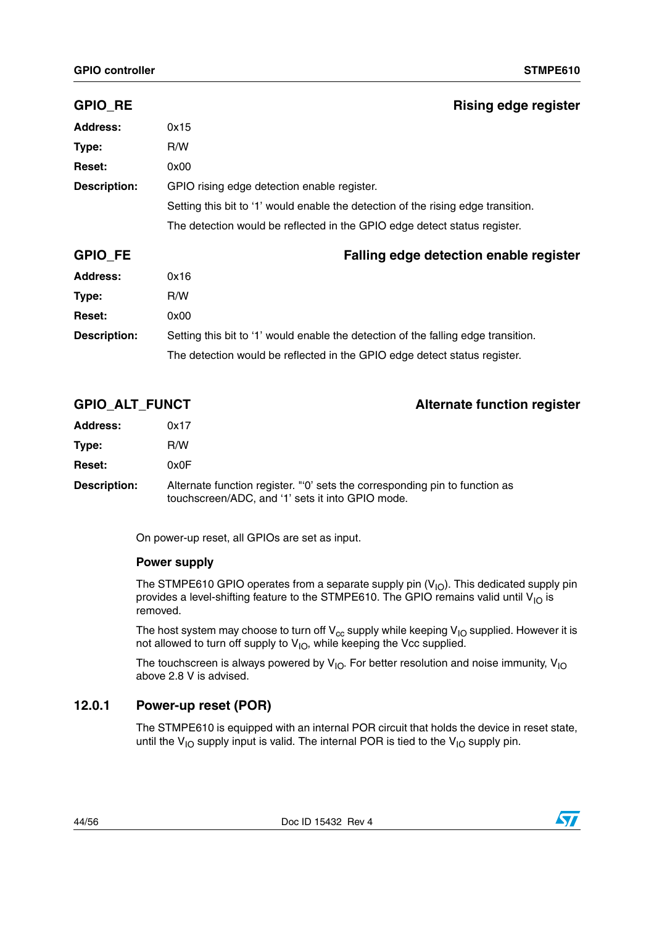| <b>GPIO_RE</b>      | <b>Rising edge register</b>                                                        |  |
|---------------------|------------------------------------------------------------------------------------|--|
| <b>Address:</b>     | 0x15                                                                               |  |
| Type:               | R/W                                                                                |  |
| <b>Reset:</b>       | 0x00                                                                               |  |
| <b>Description:</b> | GPIO rising edge detection enable register.                                        |  |
|                     | Setting this bit to '1' would enable the detection of the rising edge transition.  |  |
|                     | The detection would be reflected in the GPIO edge detect status register.          |  |
|                     |                                                                                    |  |
| <b>GPIO_FE</b>      | Falling edge detection enable register                                             |  |
| <b>Address:</b>     | 0x16                                                                               |  |
| Type:               | R/W                                                                                |  |
| <b>Reset:</b>       | 0x00                                                                               |  |
| <b>Description:</b> | Setting this bit to '1' would enable the detection of the falling edge transition. |  |

| <b>GPIO ALT FUNCT</b> | <b>Alternate function register</b>                                                                                             |
|-----------------------|--------------------------------------------------------------------------------------------------------------------------------|
| <b>Address:</b>       | 0x17                                                                                                                           |
| Type:                 | R/W                                                                                                                            |
| <b>Reset:</b>         | 0x0F                                                                                                                           |
| <b>Description:</b>   | Alternate function register. "O' sets the corresponding pin to function as<br>touchscreen/ADC, and '1' sets it into GPIO mode. |

On power-up reset, all GPIOs are set as input.

### **Power supply**

The STMPE610 GPIO operates from a separate supply pin  $(V_{10})$ . This dedicated supply pin provides a level-shifting feature to the STMPE610. The GPIO remains valid until  $V_{1O}$  is removed.

The host system may choose to turn off V $_{\rm cc}$  supply while keeping V<sub>IO</sub> supplied. However it is not allowed to turn off supply to  $\mathsf{V}_{\mathsf{IO}}$ , while keeping the Vcc supplied.

The touchscreen is always powered by  $V_{10}$ . For better resolution and noise immunity,  $V_{10}$ above 2.8 V is advised.

### <span id="page-43-0"></span>**12.0.1 Power-up reset (POR)**

The STMPE610 is equipped with an internal POR circuit that holds the device in reset state, until the  $V_{1O}$  supply input is valid. The internal POR is tied to the  $V_{1O}$  supply pin.

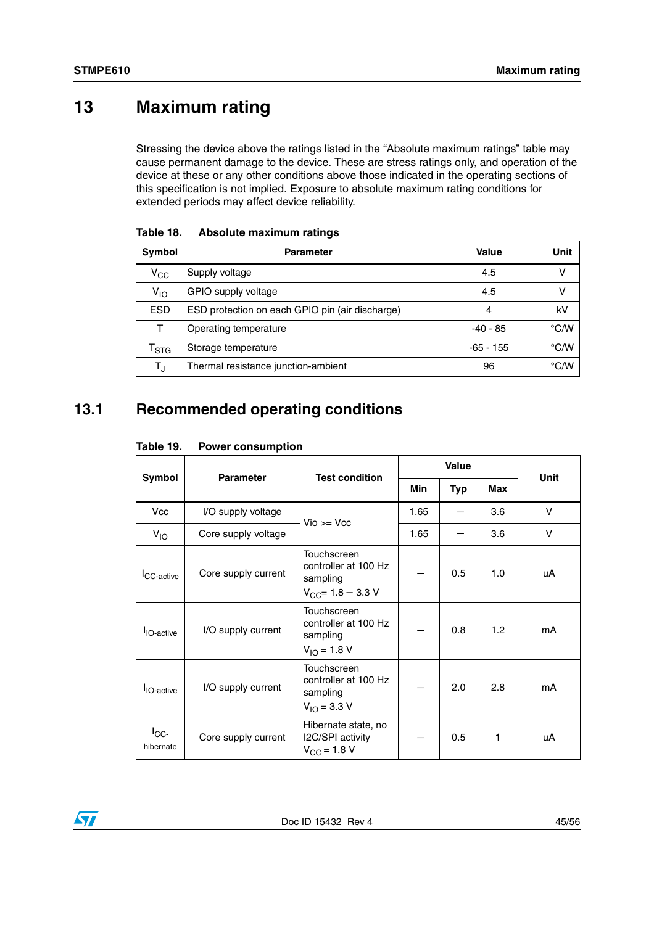# <span id="page-44-0"></span>**13 Maximum rating**

Stressing the device above the ratings listed in the "Absolute maximum ratings" table may cause permanent damage to the device. These are stress ratings only, and operation of the device at these or any other conditions above those indicated in the operating sections of this specification is not implied. Exposure to absolute maximum rating conditions for extended periods may affect device reliability.

| Symbol                      | <b>Parameter</b>                                | Value       | Unit          |
|-----------------------------|-------------------------------------------------|-------------|---------------|
| $V_{\rm CC}$                | Supply voltage                                  | 4.5         | v             |
| $V_{IO}$                    | GPIO supply voltage                             | 4.5         | v             |
| <b>ESD</b>                  | ESD protection on each GPIO pin (air discharge) | 4           | kV            |
| т                           | Operating temperature                           | -40 - 85    | $\degree$ C/W |
| $\mathsf{T}_{\textsf{STG}}$ | Storage temperature                             | $-65 - 155$ | °C/W          |
| TJ                          | Thermal resistance junction-ambient             | 96          | $\degree$ C/W |

<span id="page-44-2"></span>**Table 18. Absolute maximum ratings**

## <span id="page-44-1"></span>**13.1 Recommended operating conditions**

<span id="page-44-3"></span>

| Table 19. | <b>Power consumption</b> |
|-----------|--------------------------|
|-----------|--------------------------|

|                           | <b>Parameter</b>    | <b>Test condition</b>                                                     | <b>Value</b> |     |     | <b>Unit</b> |
|---------------------------|---------------------|---------------------------------------------------------------------------|--------------|-----|-----|-------------|
| Symbol                    |                     |                                                                           | Min          | Typ | Max |             |
| <b>Vcc</b>                | I/O supply voltage  | $V$ io >= $V$ cc                                                          | 1.65         |     | 3.6 | $\vee$      |
| $V_{10}$                  | Core supply voltage |                                                                           | 1.65         |     | 3.6 | V           |
| <b>ICC-active</b>         | Core supply current | Touchscreen<br>controller at 100 Hz<br>sampling<br>$V_{CC}$ = 1.8 – 3.3 V |              | 0.5 | 1.0 | uA          |
| <b>I</b> IO-active        | I/O supply current  | Touchscreen<br>controller at 100 Hz<br>sampling<br>$V_{10} = 1.8 V$       |              | 0.8 | 1.2 | mA          |
| <b>I</b> IO-active        | I/O supply current  | Touchscreen<br>controller at 100 Hz<br>sampling<br>$V_{1O} = 3.3 V$       |              | 2.0 | 2.8 | mA          |
| $I_{\rm CC}$<br>hibernate | Core supply current | Hibernate state, no<br>I2C/SPI activity<br>$V_{\rm CC} = 1.8 V$           |              | 0.5 | 1   | uA          |

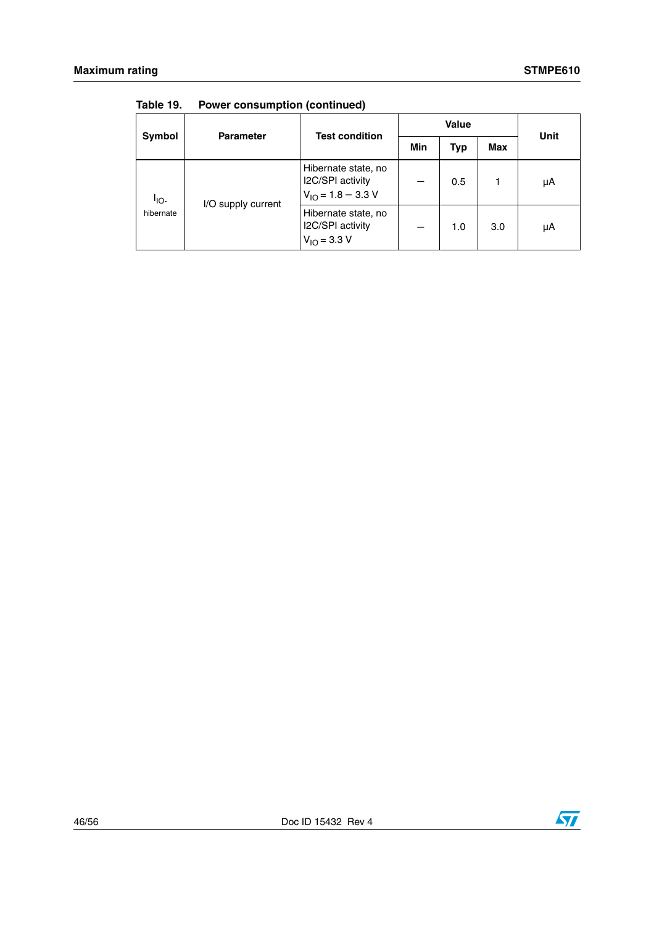|                               | <b>Parameter</b>   | <b>Test condition</b>                                             | <b>Value</b> |            |     |      |
|-------------------------------|--------------------|-------------------------------------------------------------------|--------------|------------|-----|------|
| Symbol                        |                    |                                                                   | Min          | <b>Typ</b> | Max | Unit |
| <sup>I</sup> IO-<br>hibernate | I/O supply current | Hibernate state, no<br>I2C/SPI activity<br>$V_{10} = 1.8 - 3.3 V$ |              | 0.5        |     | μΑ   |
|                               |                    | Hibernate state, no<br>I2C/SPI activity<br>$V_{1O} = 3.3 V$       |              | 1.0        | 3.0 | μΑ   |

**Table 19. Power consumption (continued)**

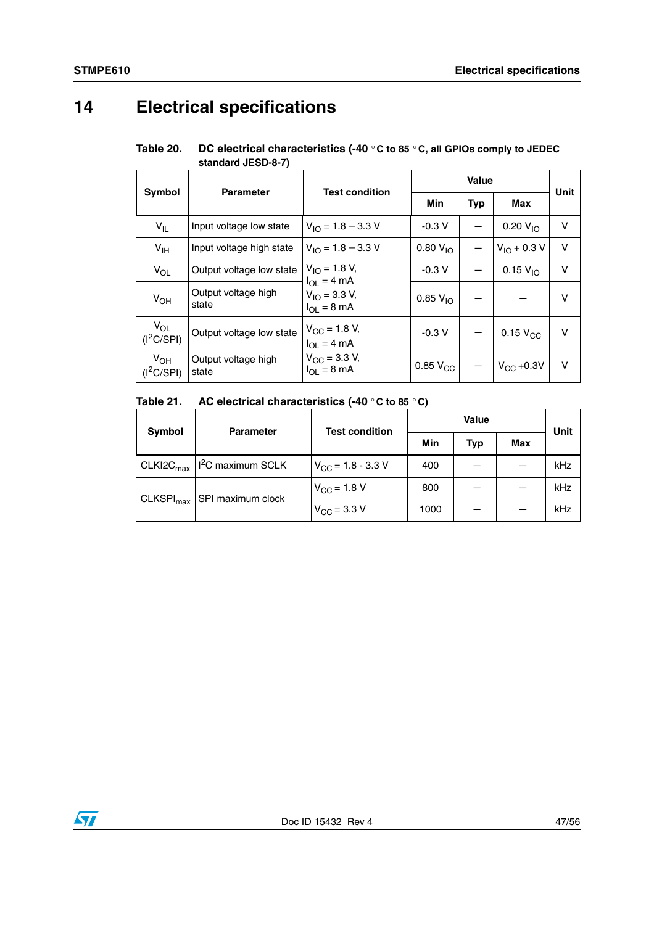# <span id="page-46-0"></span>**14 Electrical specifications**

| Table 20. | DC electrical characteristics (-40 $\degree$ C to 85 $\degree$ C, all GPIOs comply to JEDEC |
|-----------|---------------------------------------------------------------------------------------------|
|           | standard JESD-8-7)                                                                          |

| Symbol                   | <b>Parameter</b>             | <b>Test condition</b>                                |                      | Unit       |                        |        |
|--------------------------|------------------------------|------------------------------------------------------|----------------------|------------|------------------------|--------|
|                          |                              |                                                      | Min                  | <b>Typ</b> | Max                    |        |
| $V_{IL}$                 | Input voltage low state      | $V_{10} = 1.8 - 3.3 V$                               | $-0.3V$              |            | $0.20 V_{10}$          | $\vee$ |
| $V_{\text{IH}}$          | Input voltage high state     | $V_{10} = 1.8 - 3.3 V$                               | $0.80 V_{10}$        |            | $V_{10} + 0.3 V$       | $\vee$ |
| $V_{OL}$                 | Output voltage low state     | $V_{1O} = 1.8 V$ ,<br>$I_{\text{OI}} = 4 \text{ mA}$ | $-0.3V$              |            | $0.15 V_{10}$          | $\vee$ |
| $V_{OH}$                 | Output voltage high<br>state | $V_{10} = 3.3 V,$<br>$I_{\Omega I} = 8 \text{ mA}$   | $0.85 V_{10}$        |            |                        | v      |
| $V_{OL}$<br>$(I^2C/SPI)$ | Output voltage low state     | $V_{\rm CC}$ = 1.8 V,<br>$I_{OL} = 4 mA$             | $-0.3V$              |            | $0.15$ V <sub>CC</sub> | $\vee$ |
| $V_{OH}$<br>$(I^2C/SPI)$ | Output voltage high<br>state | $V_{\rm CC}$ = 3.3 V,<br>$I_{OL} = 8 \text{ mA}$     | 0.85 V <sub>CC</sub> |            | $V_{\text{CC}}$ +0.3V  | $\vee$ |

### **Table 21. AC electrical characteristics (-40** ° **C to 85** ° **C)**

| Symbol                | <b>Parameter</b>              | <b>Test condition</b>         | <b>Value</b> |     |            | Unit |
|-----------------------|-------------------------------|-------------------------------|--------------|-----|------------|------|
|                       |                               |                               | Min          | Typ | <b>Max</b> |      |
| CLKI2C <sub>max</sub> | I <sup>2</sup> C maximum SCLK | $V_{\text{CC}}$ = 1.8 - 3.3 V | 400          |     |            | kHz  |
| CLKSPI <sub>max</sub> | SPI maximum clock             | $V_{\rm CC}$ = 1.8 V          | 800          |     |            | kHz  |
|                       |                               | $V_{\rm CC}$ = 3.3 V          | 1000         |     |            | kHz  |

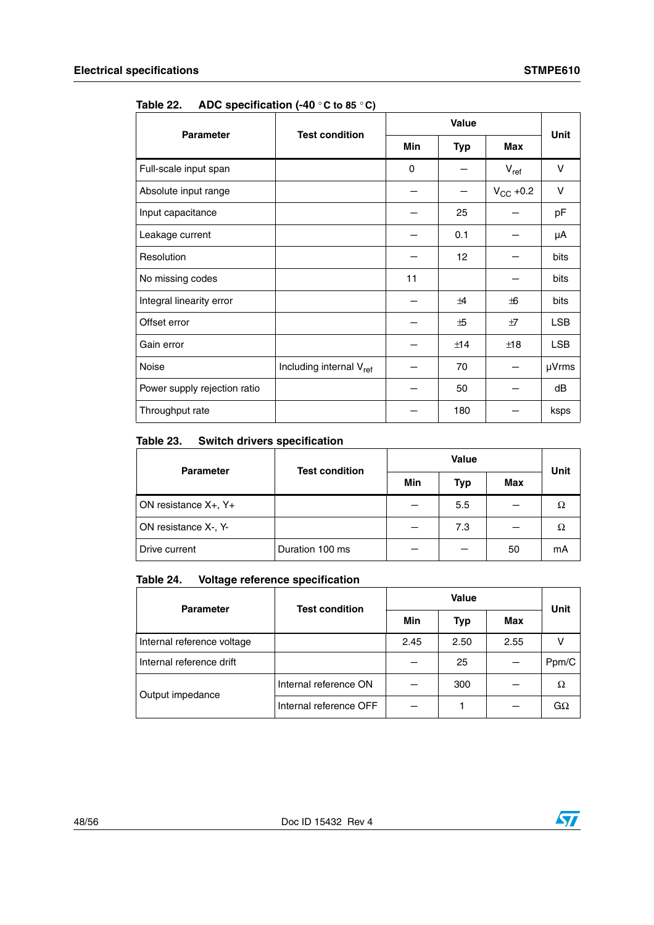| <b>Parameter</b>             | <b>Test condition</b>               | <b>Value</b> |            |               | <b>Unit</b> |
|------------------------------|-------------------------------------|--------------|------------|---------------|-------------|
|                              |                                     | <b>Min</b>   | <b>Typ</b> | <b>Max</b>    |             |
| Full-scale input span        |                                     | $\Omega$     |            | $V_{ref}$     | V           |
| Absolute input range         |                                     |              |            | $V_{CC}$ +0.2 | $\vee$      |
| Input capacitance            |                                     |              | 25         |               | pF          |
| Leakage current              |                                     |              | 0.1        |               | μA          |
| Resolution                   |                                     |              | 12         |               | bits        |
| No missing codes             |                                     | 11           |            |               | bits        |
| Integral linearity error     |                                     |              | $\pm 4$    | $+6$          | bits        |
| Offset error                 |                                     |              | ±5         | ±7            | <b>LSB</b>  |
| Gain error                   |                                     |              | ±14        | ±18           | <b>LSB</b>  |
| Noise                        | Including internal V <sub>ref</sub> |              | 70         |               | µVrms       |
| Power supply rejection ratio |                                     |              | 50         |               | dB          |
| Throughput rate              |                                     |              | 180        |               | ksps        |

**Table 22. ADC specification (-40** ° **C to 85** ° **C)** 

### **Table 23. Switch drivers specification**

| <b>Parameter</b>                | <b>Test condition</b> | Value |     |     | <b>Unit</b> |
|---------------------------------|-----------------------|-------|-----|-----|-------------|
|                                 |                       | Min   | Typ | Max |             |
| ON resistance $X_{+}$ , $Y_{+}$ |                       |       | 5.5 |     | Ω           |
| ON resistance X-, Y-            |                       |       | 7.3 |     | Ω           |
| Drive current                   | Duration 100 ms       |       |     | 50  | mА          |

### **Table 24. Voltage reference specification**

| <b>Parameter</b>           | <b>Test condition</b>  | <b>Value</b> |            |      | Unit  |
|----------------------------|------------------------|--------------|------------|------|-------|
|                            |                        | Min          | <b>Typ</b> | Max  |       |
| Internal reference voltage |                        | 2.45         | 2.50       | 2.55 |       |
| Internal reference drift   |                        |              | 25         |      | Ppm/C |
| Output impedance           | Internal reference ON  |              | 300        |      | Ω     |
|                            | Internal reference OFF |              |            |      | GΩ    |

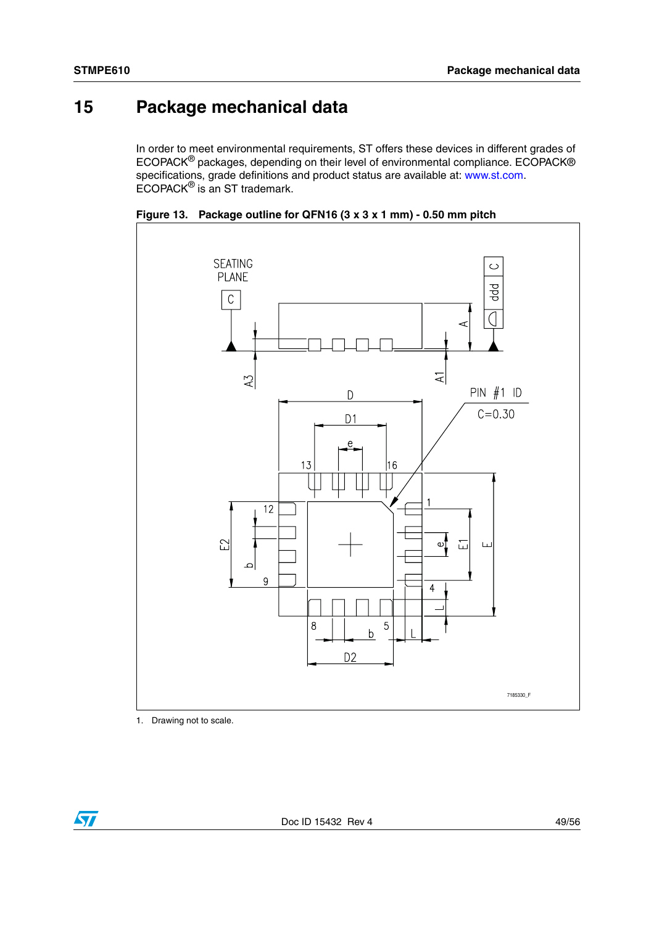# <span id="page-48-0"></span>**15 Package mechanical data**

In order to meet environmental requirements, ST offers these devices in different grades of ECOPACK® packages, depending on their level of environmental compliance. ECOPACK® specifications, grade definitions and product status are available at: www.st.com. ECOPACK® is an ST trademark.



**Figure 13. Package outline for QFN16 (3 x 3 x 1 mm) - 0.50 mm pitch**

1. Drawing not to scale.

 $\sqrt{2}$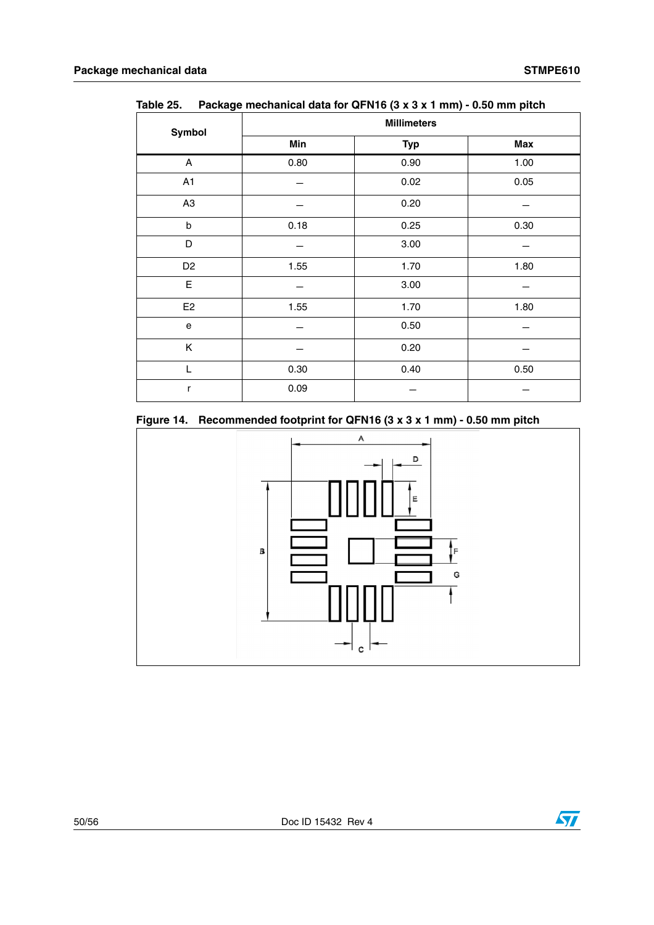| Symbol         | <b>Millimeters</b> |            |            |  |  |
|----------------|--------------------|------------|------------|--|--|
|                | Min                | <b>Typ</b> | <b>Max</b> |  |  |
| A              | 0.80               | 0.90       | 1.00       |  |  |
| A1             |                    | 0.02       | 0.05       |  |  |
| A <sub>3</sub> |                    | 0.20       |            |  |  |
| $\sf b$        | 0.18               | 0.25       | 0.30       |  |  |
| D              |                    | 3.00       |            |  |  |
| D <sub>2</sub> | 1.55               | 1.70       | 1.80       |  |  |
| E              |                    | 3.00       |            |  |  |
| E <sub>2</sub> | 1.55               | 1.70       | 1.80       |  |  |
| e              |                    | 0.50       |            |  |  |
| Κ              |                    | 0.20       |            |  |  |
| L              | 0.30               | 0.40       | 0.50       |  |  |
| r              | 0.09               |            |            |  |  |

**Table 25. Package mechanical data for QFN16 (3 x 3 x 1 mm) - 0.50 mm pitch**

### **Figure 14. Recommended footprint for QFN16 (3 x 3 x 1 mm) - 0.50 mm pitch**

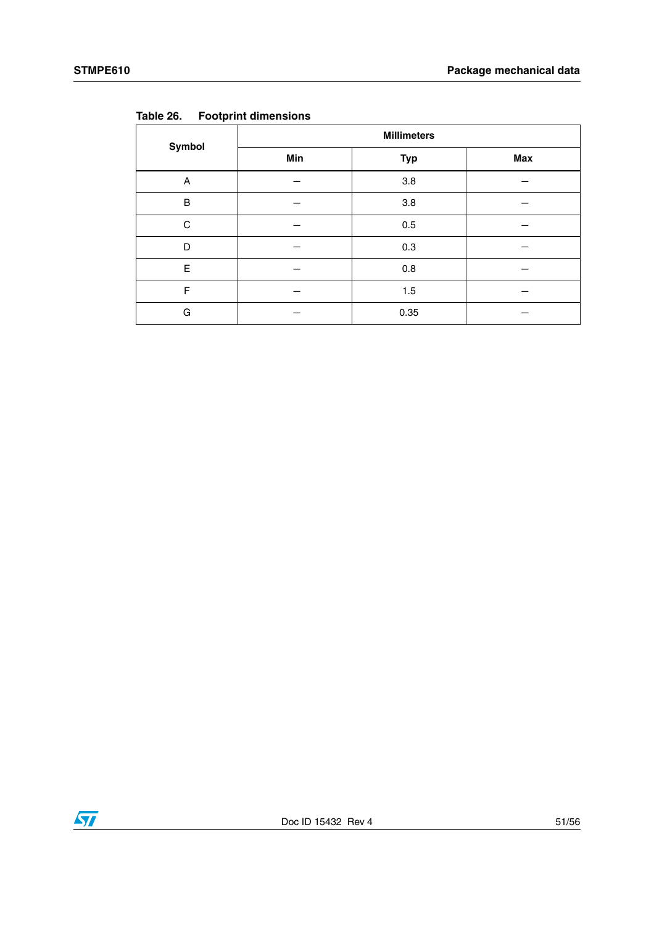| Symbol | <b>Millimeters</b> |            |     |  |  |
|--------|--------------------|------------|-----|--|--|
|        | Min                | <b>Typ</b> | Max |  |  |
| A      |                    | $3.8\,$    |     |  |  |
| B      |                    | 3.8        |     |  |  |
| C      |                    | $0.5\,$    |     |  |  |
| D      |                    | 0.3        |     |  |  |
| Е      |                    | 0.8        |     |  |  |
| F      |                    | 1.5        |     |  |  |
| G      |                    | 0.35       |     |  |  |

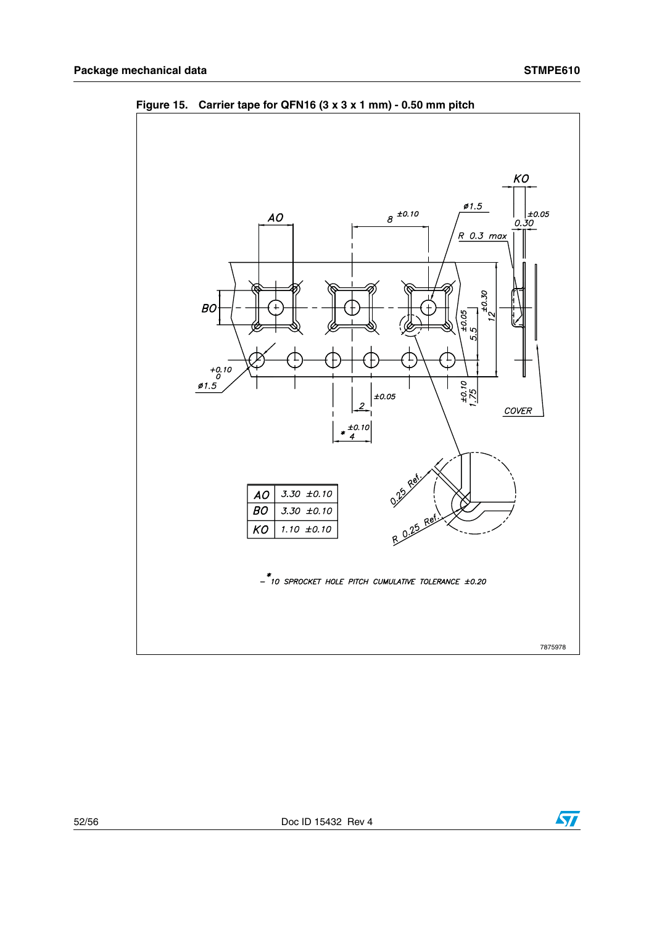

**Figure 15. Carrier tape for QFN16 (3 x 3 x 1 mm) - 0.50 mm pitch**

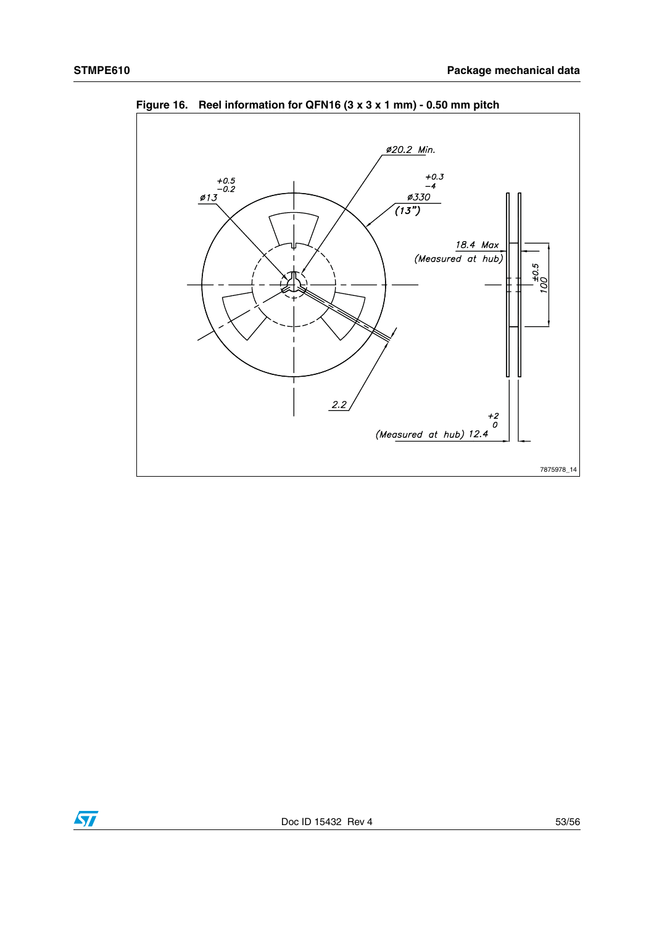

**Figure 16. Reel information for QFN16 (3 x 3 x 1 mm) - 0.50 mm pitch**

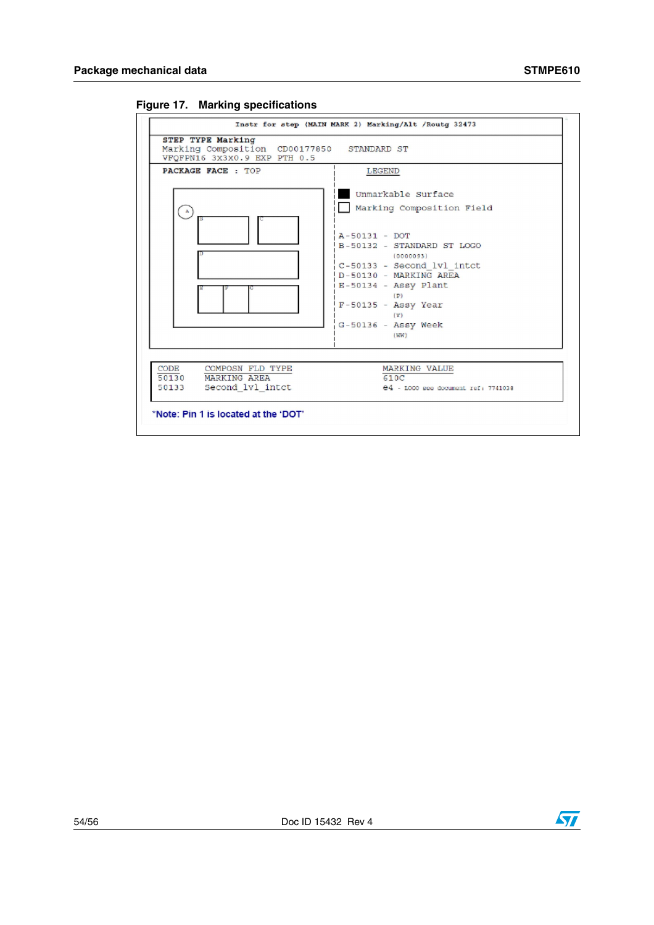

**Figure 17. Marking specifications**

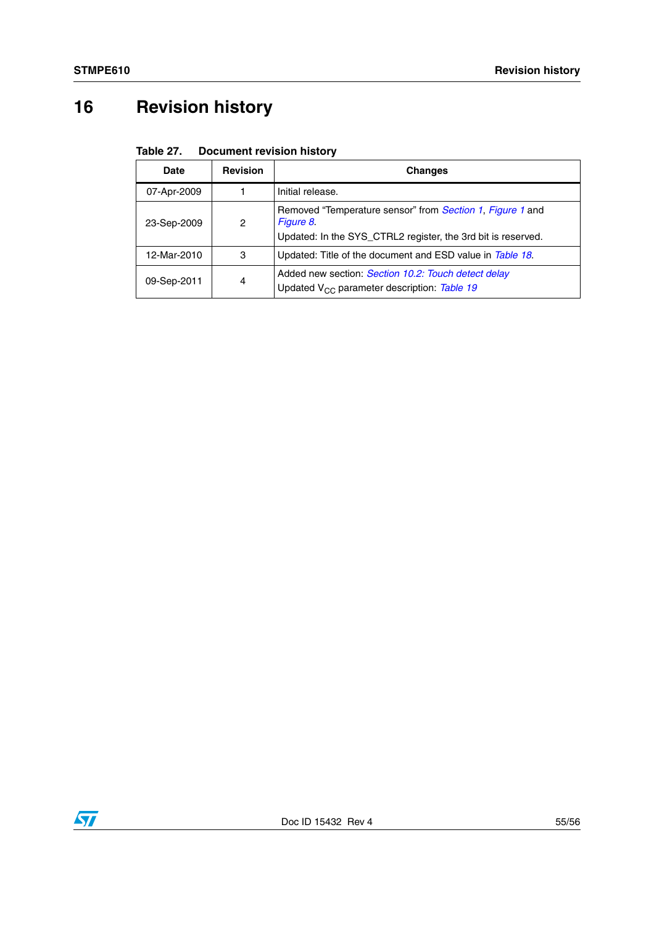# <span id="page-54-0"></span>**16 Revision history**

### Table 27. **Document revision history**

| <b>Date</b> | <b>Revision</b>                                                | <b>Changes</b>                                                                                                                         |
|-------------|----------------------------------------------------------------|----------------------------------------------------------------------------------------------------------------------------------------|
| 07-Apr-2009 |                                                                | Initial release.                                                                                                                       |
| 23-Sep-2009 | 2                                                              | Removed "Temperature sensor" from Section 1, Figure 1 and<br>Figure 8.<br>Updated: In the SYS_CTRL2 register, the 3rd bit is reserved. |
| 12-Mar-2010 | 3<br>Updated: Title of the document and ESD value in Table 18. |                                                                                                                                        |
| 09-Sep-2011 | 4                                                              | Added new section: Section 10.2: Touch detect delay<br>Updated V <sub>CC</sub> parameter description: Table 19                         |